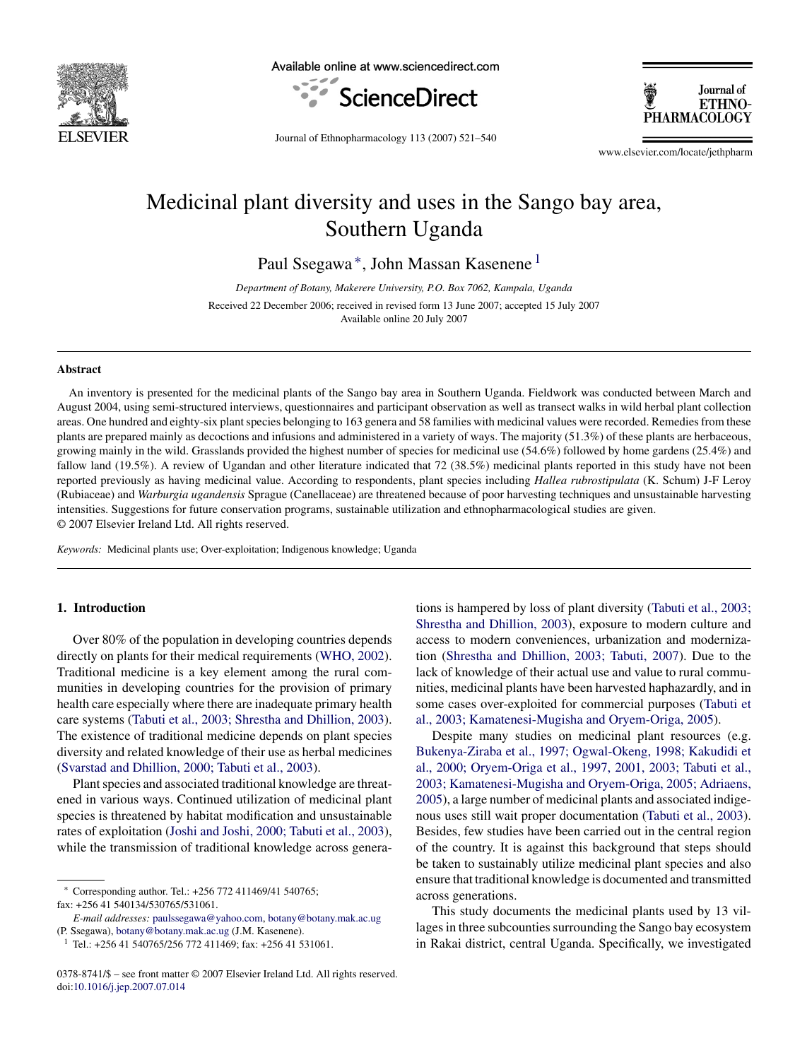

Available online at www.sciencedirect.com





Journal of Ethnopharmacology 113 (2007) 521–540

www.elsevier.com/locate/jethpharm

# Medicinal plant diversity and uses in the Sango bay area, Southern Uganda

Paul Ssegawa <sup>∗</sup>, John Massan Kasenene <sup>1</sup>

*Department of Botany, Makerere University, P.O. Box 7062, Kampala, Uganda* Received 22 December 2006; received in revised form 13 June 2007; accepted 15 July 2007 Available online 20 July 2007

#### **Abstract**

An inventory is presented for the medicinal plants of the Sango bay area in Southern Uganda. Fieldwork was conducted between March and August 2004, using semi-structured interviews, questionnaires and participant observation as well as transect walks in wild herbal plant collection areas. One hundred and eighty-six plant species belonging to 163 genera and 58 families with medicinal values were recorded. Remedies from these plants are prepared mainly as decoctions and infusions and administered in a variety of ways. The majority (51.3%) of these plants are herbaceous, growing mainly in the wild. Grasslands provided the highest number of species for medicinal use (54.6%) followed by home gardens (25.4%) and fallow land (19.5%). A review of Ugandan and other literature indicated that 72 (38.5%) medicinal plants reported in this study have not been reported previously as having medicinal value. According to respondents, plant species including *Hallea rubrostipulata* (K. Schum) J-F Leroy (Rubiaceae) and *Warburgia ugandensis* Sprague (Canellaceae) are threatened because of poor harvesting techniques and unsustainable harvesting intensities. Suggestions for future conservation programs, sustainable utilization and ethnopharmacological studies are given. © 2007 Elsevier Ireland Ltd. All rights reserved.

*Keywords:* Medicinal plants use; Over-exploitation; Indigenous knowledge; Uganda

#### **1. Introduction**

Over 80% of the population in developing countries depends directly on plants for their medical requirements [\(WHO, 2002\).](#page-19-0) Traditional medicine is a key element among the rural communities in developing countries for the provision of primary health care especially where there are inadequate primary health care systems [\(Tabuti et al., 2003; Shrestha and Dhillion, 2003\).](#page-19-0) The existence of traditional medicine depends on plant species diversity and related knowledge of their use as herbal medicines ([Svarstad and Dhillion, 2000; Tabuti et al., 2003\).](#page-19-0)

Plant species and associated traditional knowledge are threatened in various ways. Continued utilization of medicinal plant species is threatened by habitat modification and unsustainable rates of exploitation [\(Joshi and Joshi, 2000; Tabuti et al., 2003\),](#page-19-0) while the transmission of traditional knowledge across genera-

∗ Corresponding author. Tel.: +256 772 411469/41 540765; fax: +256 41 540134/530765/531061.

tions is hampered by loss of plant diversity [\(Tabuti et al., 2003;](#page-19-0) [Shrestha and Dhillion, 2003\),](#page-19-0) exposure to modern culture and access to modern conveniences, urbanization and modernization [\(Shrestha and Dhillion, 2003; Tabuti, 2007\).](#page-19-0) Due to the lack of knowledge of their actual use and value to rural communities, medicinal plants have been harvested haphazardly, and in some cases over-exploited for commercial purposes [\(Tabuti et](#page-19-0) [al., 2003; Kamatenesi-Mugisha and Oryem-Origa, 2005\).](#page-19-0)

Despite many studies on medicinal plant resources (e.g. [Bukenya-Ziraba et al., 1997; Ogwal-Okeng, 1998; Kakudidi et](#page-18-0) [al., 2000; Oryem-Origa et al., 1997, 2001, 2003; Tabuti et al.,](#page-18-0) [2003; Kamatenesi-Mugisha and Oryem-Origa, 2005; Adriaens,](#page-18-0) [2005\),](#page-18-0) a large number of medicinal plants and associated indigenous uses still wait proper documentation [\(Tabuti et al., 2003\).](#page-19-0) Besides, few studies have been carried out in the central region of the country. It is against this background that steps should be taken to sustainably utilize medicinal plant species and also ensure that traditional knowledge is documented and transmitted across generations.

This study documents the medicinal plants used by 13 villages in three subcounties surrounding the Sango bay ecosystem in Rakai district, central Uganda. Specifically, we investigated

*E-mail addresses:* [paulssegawa@yahoo.com,](mailto:paulssegawa@yahoo.com) [botany@botany.mak.ac.ug](mailto:botany@botany.mak.ac.ug) (P. Ssegawa), [botany@botany.mak.ac.ug](mailto:botany@botany.mak.ac.ug) (J.M. Kasenene).

<sup>&</sup>lt;sup>1</sup> Tel.: +256 41 540765/256 772 411469; fax: +256 41 531061.

<sup>0378-8741/\$ –</sup> see front matter © 2007 Elsevier Ireland Ltd. All rights reserved. doi[:10.1016/j.jep.2007.07.014](dx.doi.org/10.1016/j.jep.2007.07.014)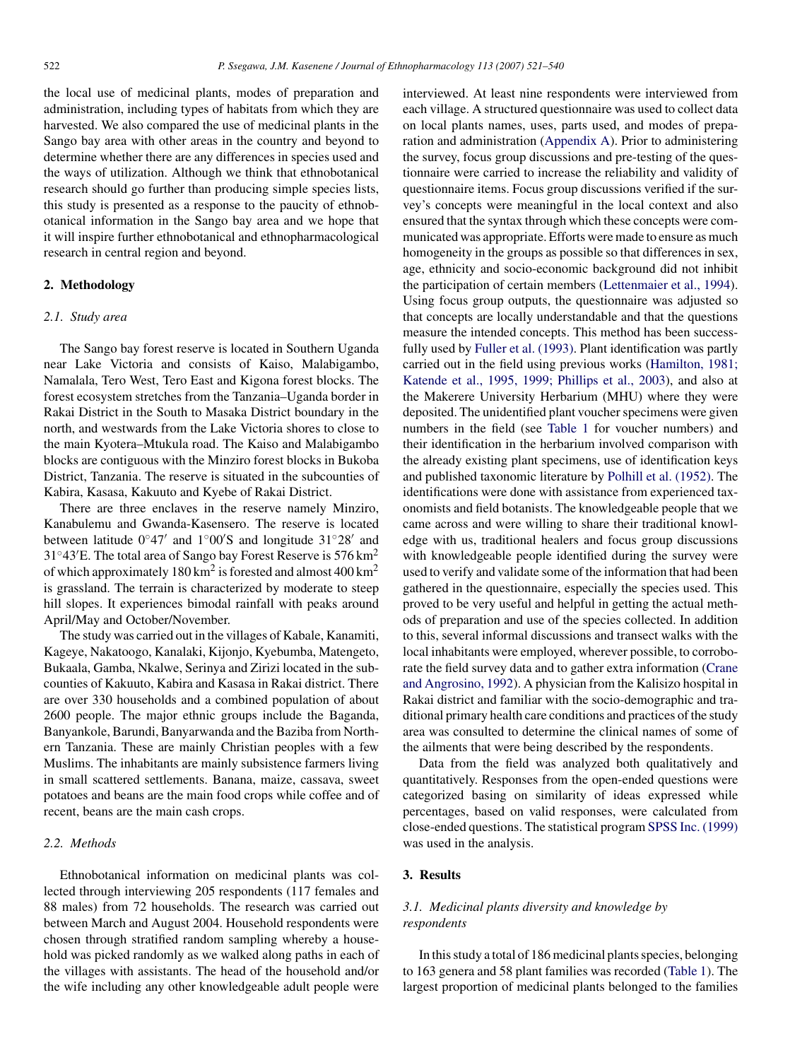<span id="page-1-0"></span>the local use of medicinal plants, modes of preparation and administration, including types of habitats from which they are harvested. We also compared the use of medicinal plants in the Sango bay area with other areas in the country and beyond to determine whether there are any differences in species used and the ways of utilization. Although we think that ethnobotanical research should go further than producing simple species lists, this study is presented as a response to the paucity of ethnobotanical information in the Sango bay area and we hope that it will inspire further ethnobotanical and ethnopharmacological research in central region and beyond.

### **2. Methodology**

#### *2.1. Study area*

The Sango bay forest reserve is located in Southern Uganda near Lake Victoria and consists of Kaiso, Malabigambo, Namalala, Tero West, Tero East and Kigona forest blocks. The forest ecosystem stretches from the Tanzania–Uganda border in Rakai District in the South to Masaka District boundary in the north, and westwards from the Lake Victoria shores to close to the main Kyotera–Mtukula road. The Kaiso and Malabigambo blocks are contiguous with the Minziro forest blocks in Bukoba District, Tanzania. The reserve is situated in the subcounties of Kabira, Kasasa, Kakuuto and Kyebe of Rakai District.

There are three enclaves in the reserve namely Minziro, Kanabulemu and Gwanda-Kasensero. The reserve is located between latitude  $0°47'$  and  $1°00'S$  and longitude  $31°28'$  and 31°43′E. The total area of Sango bay Forest Reserve is 576 km<sup>2</sup> of which approximately  $180 \text{ km}^2$  is forested and almost  $400 \text{ km}^2$ is grassland. The terrain is characterized by moderate to steep hill slopes. It experiences bimodal rainfall with peaks around April/May and October/November.

The study was carried out in the villages of Kabale, Kanamiti, Kageye, Nakatoogo, Kanalaki, Kijonjo, Kyebumba, Matengeto, Bukaala, Gamba, Nkalwe, Serinya and Zirizi located in the subcounties of Kakuuto, Kabira and Kasasa in Rakai district. There are over 330 households and a combined population of about 2600 people. The major ethnic groups include the Baganda, Banyankole, Barundi, Banyarwanda and the Baziba from Northern Tanzania. These are mainly Christian peoples with a few Muslims. The inhabitants are mainly subsistence farmers living in small scattered settlements. Banana, maize, cassava, sweet potatoes and beans are the main food crops while coffee and of recent, beans are the main cash crops.

#### *2.2. Methods*

Ethnobotanical information on medicinal plants was collected through interviewing 205 respondents (117 females and 88 males) from 72 households. The research was carried out between March and August 2004. Household respondents were chosen through stratified random sampling whereby a household was picked randomly as we walked along paths in each of the villages with assistants. The head of the household and/or the wife including any other knowledgeable adult people were

interviewed. At least nine respondents were interviewed from each village. A structured questionnaire was used to collect data on local plants names, uses, parts used, and modes of preparation and administration ([Appendix A\).](#page-16-0) Prior to administering the survey, focus group discussions and pre-testing of the questionnaire were carried to increase the reliability and validity of questionnaire items. Focus group discussions verified if the survey's concepts were meaningful in the local context and also ensured that the syntax through which these concepts were communicated was appropriate. Efforts were made to ensure as much homogeneity in the groups as possible so that differences in sex, age, ethnicity and socio-economic background did not inhibit the participation of certain members [\(Lettenmaier et al., 1994\).](#page-19-0) Using focus group outputs, the questionnaire was adjusted so that concepts are locally understandable and that the questions measure the intended concepts. This method has been successfully used by [Fuller et al. \(1993\). P](#page-19-0)lant identification was partly carried out in the field using previous works [\(Hamilton, 1981;](#page-19-0) [Katende et al., 1995, 1999; Phillips et al., 2003\),](#page-19-0) and also at the Makerere University Herbarium (MHU) where they were deposited. The unidentified plant voucher specimens were given numbers in the field (see [Table 1](#page-2-0) for voucher numbers) and their identification in the herbarium involved comparison with the already existing plant specimens, use of identification keys and published taxonomic literature by [Polhill et al. \(1952\).](#page-19-0) The identifications were done with assistance from experienced taxonomists and field botanists. The knowledgeable people that we came across and were willing to share their traditional knowledge with us, traditional healers and focus group discussions with knowledgeable people identified during the survey were used to verify and validate some of the information that had been gathered in the questionnaire, especially the species used. This proved to be very useful and helpful in getting the actual methods of preparation and use of the species collected. In addition to this, several informal discussions and transect walks with the local inhabitants were employed, wherever possible, to corroborate the field survey data and to gather extra information [\(Crane](#page-18-0) [and Angrosino, 1992\).](#page-18-0) A physician from the Kalisizo hospital in Rakai district and familiar with the socio-demographic and traditional primary health care conditions and practices of the study area was consulted to determine the clinical names of some of the ailments that were being described by the respondents.

Data from the field was analyzed both qualitatively and quantitatively. Responses from the open-ended questions were categorized basing on similarity of ideas expressed while percentages, based on valid responses, were calculated from close-ended questions. The statistical program [SPSS Inc. \(1999\)](#page-19-0) was used in the analysis.

#### **3. Results**

### *3.1. Medicinal plants diversity and knowledge by respondents*

In this study a total of 186 medicinal plants species, belonging to 163 genera and 58 plant families was recorded [\(Table 1\).](#page-2-0) The largest proportion of medicinal plants belonged to the families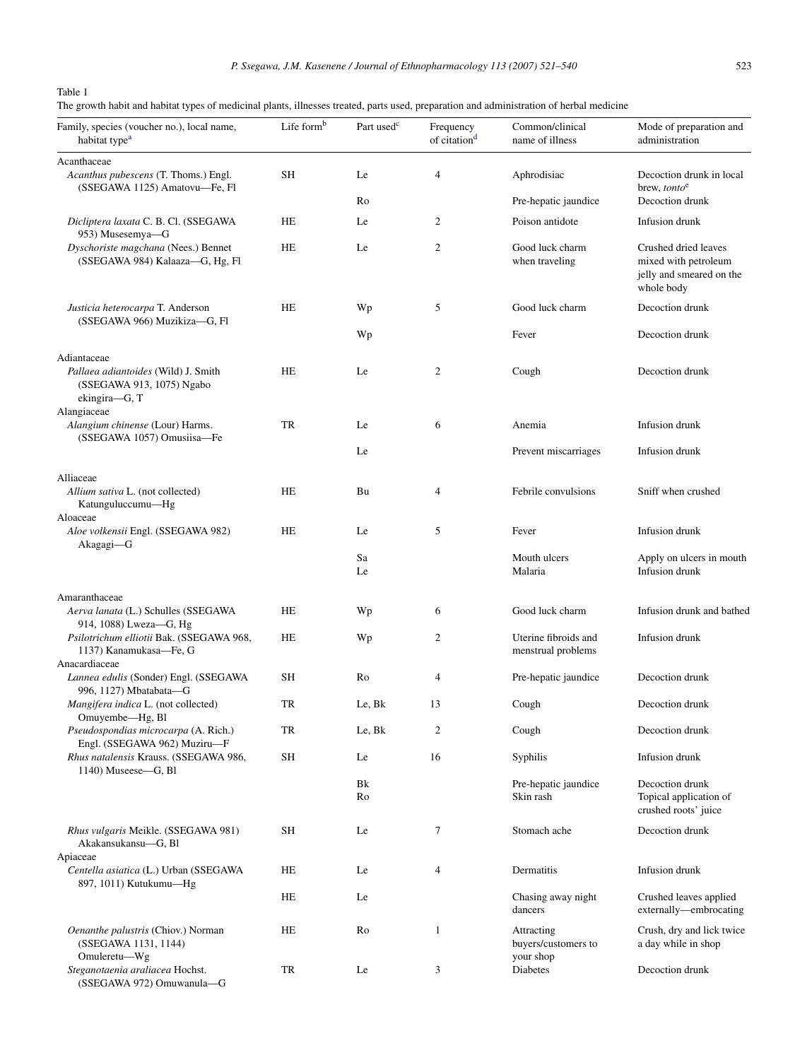### <span id="page-2-0"></span>Table 1

The growth habit and habitat types of medicinal plants, illnesses treated, parts used, preparation and administration of herbal medicine

| Family, species (voucher no.), local name,<br>habitat type <sup>a</sup>                          | Life form <sup>b</sup> | Part used <sup>c</sup> | Frequency<br>of citation <sup>d</sup> | Common/clinical<br>name of illness         | Mode of preparation and<br>administration                                              |
|--------------------------------------------------------------------------------------------------|------------------------|------------------------|---------------------------------------|--------------------------------------------|----------------------------------------------------------------------------------------|
| Acanthaceae<br>Acanthus pubescens (T. Thoms.) Engl.<br>(SSEGAWA 1125) Amatovu-Fe, Fl             | SН                     | Le                     | 4                                     | Aphrodisiac                                | Decoction drunk in local<br>brew. $tonto^e$                                            |
| Dicliptera laxata C. B. Cl. (SSEGAWA                                                             | HE                     | Ro<br>Le               | 2                                     | Pre-hepatic jaundice<br>Poison antidote    | Decoction drunk<br>Infusion drunk                                                      |
| 953) Musesemya—G                                                                                 |                        |                        |                                       |                                            |                                                                                        |
| Dyschoriste magchana (Nees.) Bennet<br>(SSEGAWA 984) Kalaaza-G, Hg, Fl                           | HE                     | Le                     | $\boldsymbol{2}$                      | Good luck charm<br>when traveling          | Crushed dried leaves<br>mixed with petroleum<br>jelly and smeared on the<br>whole body |
| Justicia heterocarpa T. Anderson<br>(SSEGAWA 966) Muzikiza-G, Fl                                 | HE                     | Wp                     | 5                                     | Good luck charm                            | Decoction drunk                                                                        |
|                                                                                                  |                        | Wp                     |                                       | Fever                                      | Decoction drunk                                                                        |
| Adiantaceae<br>Pallaea adiantoides (Wild) J. Smith<br>(SSEGAWA 913, 1075) Ngabo<br>ekingira—G, T | HE                     | Le                     | $\overline{c}$                        | Cough                                      | Decoction drunk                                                                        |
| Alangiaceae<br>Alangium chinense (Lour) Harms.<br>(SSEGAWA 1057) Omusiisa-Fe                     | TR                     | Le                     | 6                                     | Anemia                                     | Infusion drunk                                                                         |
|                                                                                                  |                        | Le                     |                                       | Prevent miscarriages                       | Infusion drunk                                                                         |
| Alliaceae<br>Allium sativa L. (not collected)<br>Katunguluccumu—Hg                               | HE                     | Bu                     | 4                                     | Febrile convulsions                        | Sniff when crushed                                                                     |
| Aloaceae<br>Aloe volkensii Engl. (SSEGAWA 982)<br>Akagagi-G                                      | HE                     | Le                     | 5                                     | Fever                                      | Infusion drunk                                                                         |
|                                                                                                  |                        | Sa<br>Le               |                                       | Mouth ulcers<br>Malaria                    | Apply on ulcers in mouth<br>Infusion drunk                                             |
| Amaranthaceae                                                                                    |                        |                        |                                       |                                            |                                                                                        |
| Aerva lanata (L.) Schulles (SSEGAWA<br>914, 1088) Lweza-G, Hg                                    | HE                     | Wp                     | 6                                     | Good luck charm                            | Infusion drunk and bathed                                                              |
| Psilotrichum elliotii Bak. (SSEGAWA 968,<br>1137) Kanamukasa-Fe, G<br>Anacardiaceae              | HE                     | Wp                     | 2                                     | Uterine fibroids and<br>menstrual problems | Infusion drunk                                                                         |
| Lannea edulis (Sonder) Engl. (SSEGAWA<br>996, 1127) Mbatabata—G                                  | <b>SH</b>              | Ro                     | 4                                     | Pre-hepatic jaundice                       | Decoction drunk                                                                        |
| <i>Mangifera indica</i> L. (not collected)                                                       | TR                     | Le, Bk                 | 13                                    | Cough                                      | Decoction drunk                                                                        |
| Omuyembe—Hg, Bl<br>Pseudospondias microcarpa (A. Rich.)<br>Engl. (SSEGAWA 962) Muziru-F          | TR                     | Le, Bk                 | 2                                     | Cough                                      | Decoction drunk                                                                        |
| Rhus natalensis Krauss. (SSEGAWA 986,<br>1140) Museese-G, Bl                                     | SН                     | Le                     | 16                                    | Syphilis                                   | Infusion drunk                                                                         |
|                                                                                                  |                        | Bk<br>Ro               |                                       | Pre-hepatic jaundice<br>Skin rash          | Decoction drunk<br>Topical application of<br>crushed roots' juice                      |
| Rhus vulgaris Meikle. (SSEGAWA 981)<br>Akakansukansu-G, Bl                                       | <b>SH</b>              | Le                     | 7                                     | Stomach ache                               | Decoction drunk                                                                        |
| Apiaceae<br>Centella asiatica (L.) Urban (SSEGAWA                                                | HE                     | Le                     | 4                                     | Dermatitis                                 | Infusion drunk                                                                         |
| 897, 1011) Kutukumu-Hg                                                                           | HE                     | Le                     |                                       | Chasing away night<br>dancers              | Crushed leaves applied<br>externally-embrocating                                       |
| Oenanthe palustris (Chiov.) Norman<br>(SSEGAWA 1131, 1144)                                       | HE                     | Ro                     | $\mathbf{1}$                          | Attracting<br>buyers/customers to          | Crush, dry and lick twice<br>a day while in shop                                       |
| Omuleretu-Wg<br>Steganotaenia araliacea Hochst.<br>(SSEGAWA 972) Omuwanula-G                     | TR                     | Le                     | 3                                     | your shop<br>Diabetes                      | Decoction drunk                                                                        |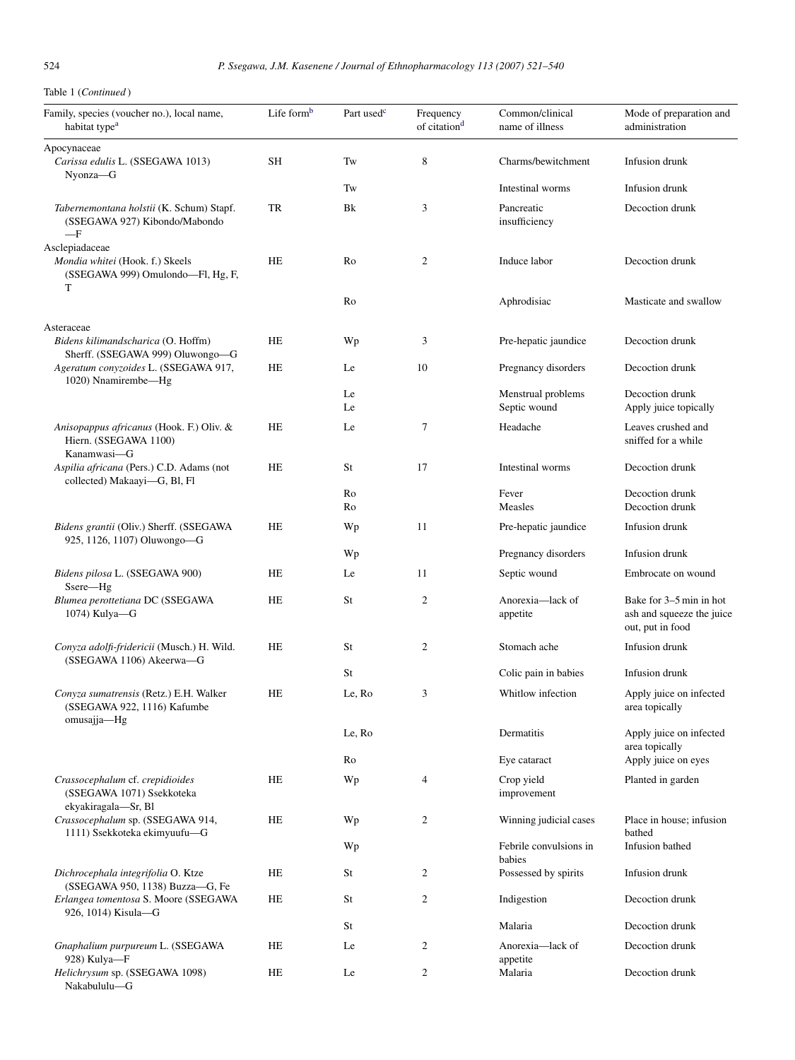| Family, species (voucher no.), local name,<br>habitat type <sup>a</sup>                | Life form <sup>b</sup> | Part used <sup>c</sup> | Frequency<br>of citation <sup>d</sup> | Common/clinical<br>name of illness | Mode of preparation and<br>administration                                |
|----------------------------------------------------------------------------------------|------------------------|------------------------|---------------------------------------|------------------------------------|--------------------------------------------------------------------------|
| Apocynaceae<br>Carissa edulis L. (SSEGAWA 1013)                                        | SН                     | Tw                     | 8                                     | Charms/bewitchment                 | Infusion drunk                                                           |
| Nyonza-G                                                                               |                        | Tw                     |                                       | Intestinal worms                   | Infusion drunk                                                           |
| Tabernemontana holstii (K. Schum) Stapf.<br>(SSEGAWA 927) Kibondo/Mabondo<br>$-F$      | TR                     | Bk                     | 3                                     | Pancreatic<br>insufficiency        | Decoction drunk                                                          |
| Asclepiadaceae<br>Mondia whitei (Hook. f.) Skeels<br>(SSEGAWA 999) Omulondo-Fl, Hg, F, | HE                     | Ro                     | $\mathfrak{2}$                        | Induce labor                       | Decoction drunk                                                          |
| T                                                                                      |                        | Ro                     |                                       | Aphrodisiac                        | Masticate and swallow                                                    |
| Asteraceae<br>Bidens kilimandscharica (O. Hoffm)                                       | HE                     | Wp                     | 3                                     | Pre-hepatic jaundice               | Decoction drunk                                                          |
| Sherff. (SSEGAWA 999) Oluwongo-G<br>Ageratum conyzoides L. (SSEGAWA 917,               | HE                     | Le                     | 10                                    | Pregnancy disorders                | Decoction drunk                                                          |
| 1020) Nnamirembe—Hg                                                                    |                        | Le<br>Le               |                                       | Menstrual problems<br>Septic wound | Decoction drunk<br>Apply juice topically                                 |
| Anisopappus africanus (Hook. F.) Oliv. &<br>Hiern. (SSEGAWA 1100)<br>Kanamwasi-G       | HE                     | Le                     | 7                                     | Headache                           | Leaves crushed and<br>sniffed for a while                                |
| Aspilia africana (Pers.) C.D. Adams (not<br>collected) Makaayi-G, Bl, Fl               | HE                     | St                     | 17                                    | Intestinal worms                   | Decoction drunk                                                          |
|                                                                                        |                        | Ro<br>Ro               |                                       | Fever<br>Measles                   | Decoction drunk<br>Decoction drunk                                       |
| Bidens grantii (Oliv.) Sherff. (SSEGAWA<br>925, 1126, 1107) Oluwongo—G                 | HE                     | Wp                     | 11                                    | Pre-hepatic jaundice               | Infusion drunk                                                           |
|                                                                                        |                        | Wp                     |                                       | Pregnancy disorders                | Infusion drunk                                                           |
| Bidens pilosa L. (SSEGAWA 900)<br>S <sub>ser</sub> —Hg                                 | HE                     | Le                     | 11                                    | Septic wound                       | Embrocate on wound                                                       |
| Blumea perottetiana DC (SSEGAWA<br>1074) Kulya—G                                       | HE                     | St                     | 2                                     | Anorexia-lack of<br>appetite       | Bake for 3–5 min in hot<br>ash and squeeze the juice<br>out, put in food |
| Conyza adolfi-fridericii (Musch.) H. Wild.<br>(SSEGAWA 1106) Akeerwa—G                 | HE                     | St                     | $\overline{c}$                        | Stomach ache                       | Infusion drunk                                                           |
|                                                                                        |                        | St                     |                                       | Colic pain in babies               | Infusion drunk                                                           |
| Conyza sumatrensis (Retz.) E.H. Walker<br>(SSEGAWA 922, 1116) Kafumbe<br>omusajja—Hg   | HE                     | Le, Ro                 | 3                                     | Whitlow infection                  | Apply juice on infected<br>area topically                                |
|                                                                                        |                        | Le, Ro                 |                                       | Dermatitis                         | Apply juice on infected<br>area topically                                |
|                                                                                        |                        | Ro                     |                                       | Eye cataract                       | Apply juice on eyes                                                      |
| Crassocephalum cf. crepidioides<br>(SSEGAWA 1071) Ssekkoteka<br>ekyakiragala-Sr, Bl    | HE                     | Wp                     | 4                                     | Crop yield<br>improvement          | Planted in garden                                                        |
| Crassocephalum sp. (SSEGAWA 914,<br>1111) Ssekkoteka ekimyuufu-G                       | HE                     | Wp                     | $\overline{c}$                        | Winning judicial cases             | Place in house; infusion<br>bathed                                       |
|                                                                                        |                        | Wp                     |                                       | Febrile convulsions in<br>babies   | Infusion bathed                                                          |
| Dichrocephala integrifolia O. Ktze<br>(SSEGAWA 950, 1138) Buzza-G, Fe                  | HE                     | St                     | $\overline{c}$                        | Possessed by spirits               | Infusion drunk                                                           |
| Erlangea tomentosa S. Moore (SSEGAWA<br>926, 1014) Kisula-G                            | HE                     | St                     | $\overline{c}$                        | Indigestion                        | Decoction drunk                                                          |
|                                                                                        |                        | St                     |                                       | Malaria                            | Decoction drunk                                                          |
| Gnaphalium purpureum L. (SSEGAWA<br>928) Kulya-F                                       | HE                     | Le                     | 2                                     | Anorexia-lack of<br>appetite       | Decoction drunk                                                          |
| Helichrysum sp. (SSEGAWA 1098)<br>Nakabululu-G                                         | HE                     | Le                     | $\overline{c}$                        | Malaria                            | Decoction drunk                                                          |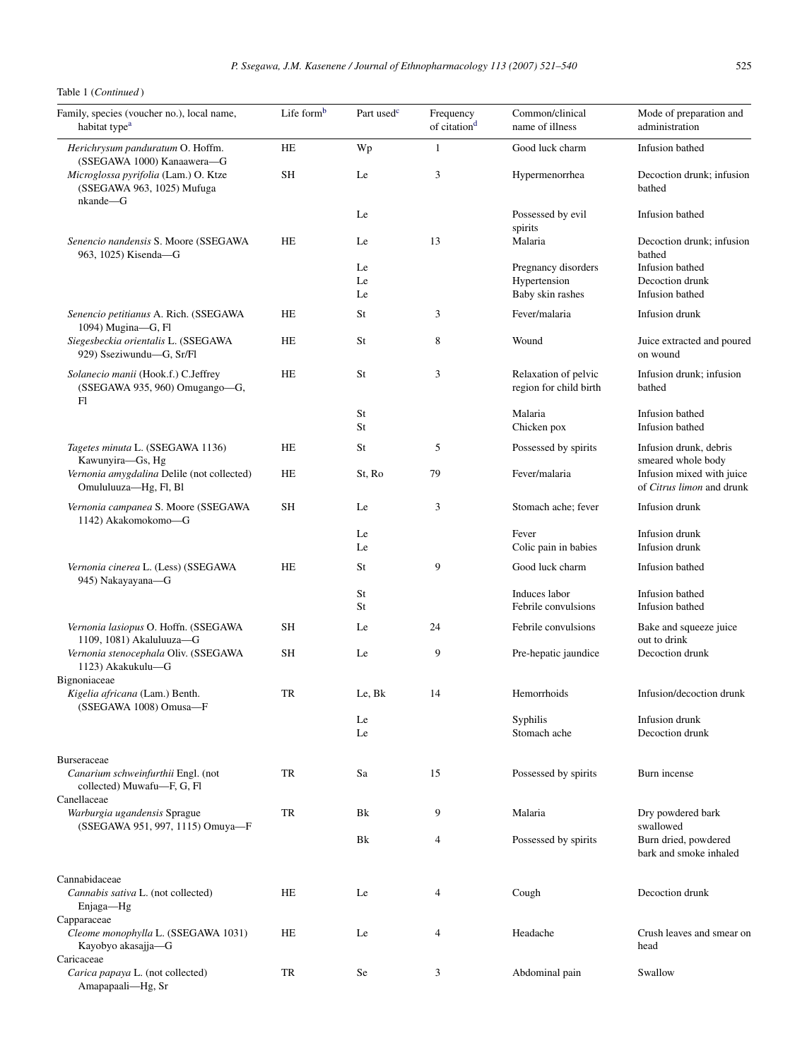| Family, species (voucher no.), local name,<br>habitat type <sup>a</sup>         | Life form $b$ | Part used <sup>c</sup> | Frequency<br>of citation <sup>d</sup> | Common/clinical<br>name of illness             | Mode of preparation and<br>administration              |
|---------------------------------------------------------------------------------|---------------|------------------------|---------------------------------------|------------------------------------------------|--------------------------------------------------------|
| Herichrysum panduratum O. Hoffm.<br>(SSEGAWA 1000) Kanaawera-G                  | HE            | Wp                     | $\mathbf{1}$                          | Good luck charm                                | Infusion bathed                                        |
| Microglossa pyrifolia (Lam.) O. Ktze<br>(SSEGAWA 963, 1025) Mufuga<br>nkande-G  | SН            | Le                     | 3                                     | Hypermenorrhea                                 | Decoction drunk; infusion<br>bathed                    |
|                                                                                 |               | Le                     |                                       | Possessed by evil<br>spirits                   | Infusion bathed                                        |
| Senencio nandensis S. Moore (SSEGAWA<br>963, 1025) Kisenda-G                    | HE            | Le                     | 13                                    | Malaria                                        | Decoction drunk; infusion<br>bathed                    |
|                                                                                 |               | Le                     |                                       | Pregnancy disorders                            | Infusion bathed                                        |
|                                                                                 |               | Le                     |                                       | Hypertension                                   | Decoction drunk                                        |
|                                                                                 |               | Le                     |                                       | Baby skin rashes                               | Infusion bathed                                        |
| Senencio petitianus A. Rich. (SSEGAWA<br>1094) Mugina-G, Fl                     | HE            | St                     | 3                                     | Fever/malaria                                  | Infusion drunk                                         |
| Siegesbeckia orientalis L. (SSEGAWA<br>929) Sseziwundu-G, Sr/Fl                 | HE            | St                     | 8                                     | Wound                                          | Juice extracted and poured<br>on wound                 |
| Solanecio manii (Hook.f.) C.Jeffrey<br>(SSEGAWA 935, 960) Omugango-G,<br>Fl     | <b>HE</b>     | St                     | 3                                     | Relaxation of pelvic<br>region for child birth | Infusion drunk; infusion<br>bathed                     |
|                                                                                 |               | St                     |                                       | Malaria                                        | Infusion bathed                                        |
|                                                                                 |               | St                     |                                       | Chicken pox                                    | Infusion bathed                                        |
| Tagetes minuta L. (SSEGAWA 1136)<br>Kawunyira-Gs, Hg                            | HE            | St                     | 5                                     | Possessed by spirits                           | Infusion drunk, debris<br>smeared whole body           |
| Vernonia amygdalina Delile (not collected)<br>Omululuuza-Hg, Fl, Bl             | HE            | St, Ro                 | 79                                    | Fever/malaria                                  | Infusion mixed with juice<br>of Citrus limon and drunk |
| Vernonia campanea S. Moore (SSEGAWA<br>1142) Akakomokomo-G                      | SH            | Le                     | 3                                     | Stomach ache; fever                            | Infusion drunk                                         |
|                                                                                 |               | Le<br>Le               |                                       | Fever<br>Colic pain in babies                  | Infusion drunk<br>Infusion drunk                       |
| Vernonia cinerea L. (Less) (SSEGAWA<br>945) Nakayayana—G                        | HE            | St                     | 9                                     | Good luck charm                                | Infusion bathed                                        |
|                                                                                 |               | St<br>St               |                                       | Induces labor<br>Febrile convulsions           | Infusion bathed<br>Infusion bathed                     |
| Vernonia lasiopus O. Hoffn. (SSEGAWA<br>1109, 1081) Akaluluuza-G                | SН            | Le                     | 24                                    | Febrile convulsions                            | Bake and squeeze juice<br>out to drink                 |
| Vernonia stenocephala Oliv. (SSEGAWA<br>1123) Akakukulu—G                       | SН            | Le                     | 9                                     | Pre-hepatic jaundice                           | Decoction drunk                                        |
| Bignoniaceae<br>Kigelia africana (Lam.) Benth.<br>(SSEGAWA 1008) Omusa-F        | TR            | Le. Bk                 | 14                                    | Hemorrhoids                                    | Infusion/decoction drunk                               |
|                                                                                 |               | Le                     |                                       | Syphilis                                       | Infusion drunk                                         |
|                                                                                 |               | Le                     |                                       | Stomach ache                                   | Decoction drunk                                        |
| <b>Burseraceae</b>                                                              |               |                        |                                       |                                                |                                                        |
| Canarium schweinfurthii Engl. (not<br>collected) Muwafu-F, G, Fl                | TR            | Sa                     | 15                                    | Possessed by spirits                           | Burn incense                                           |
| Canellaceae<br>Warburgia ugandensis Sprague<br>(SSEGAWA 951, 997, 1115) Omuya-F | TR            | Bk                     | 9                                     | Malaria                                        | Dry powdered bark<br>swallowed                         |
|                                                                                 |               | Bk                     | $\overline{4}$                        | Possessed by spirits                           | Burn dried, powdered<br>bark and smoke inhaled         |
|                                                                                 |               |                        |                                       |                                                |                                                        |
| Cannabidaceae<br>Cannabis sativa L. (not collected)<br>Enjaga—Hg                | HE            | Le                     | 4                                     | Cough                                          | Decoction drunk                                        |
| Capparaceae<br>Cleome monophylla L. (SSEGAWA 1031)<br>Kayobyo akasajja-G        | HE            | Le                     | 4                                     | Headache                                       | Crush leaves and smear on<br>head                      |
| Caricaceae<br>Carica papaya L. (not collected)<br>Amapapaali-Hg, Sr             | TR            | Se                     | 3                                     | Abdominal pain                                 | Swallow                                                |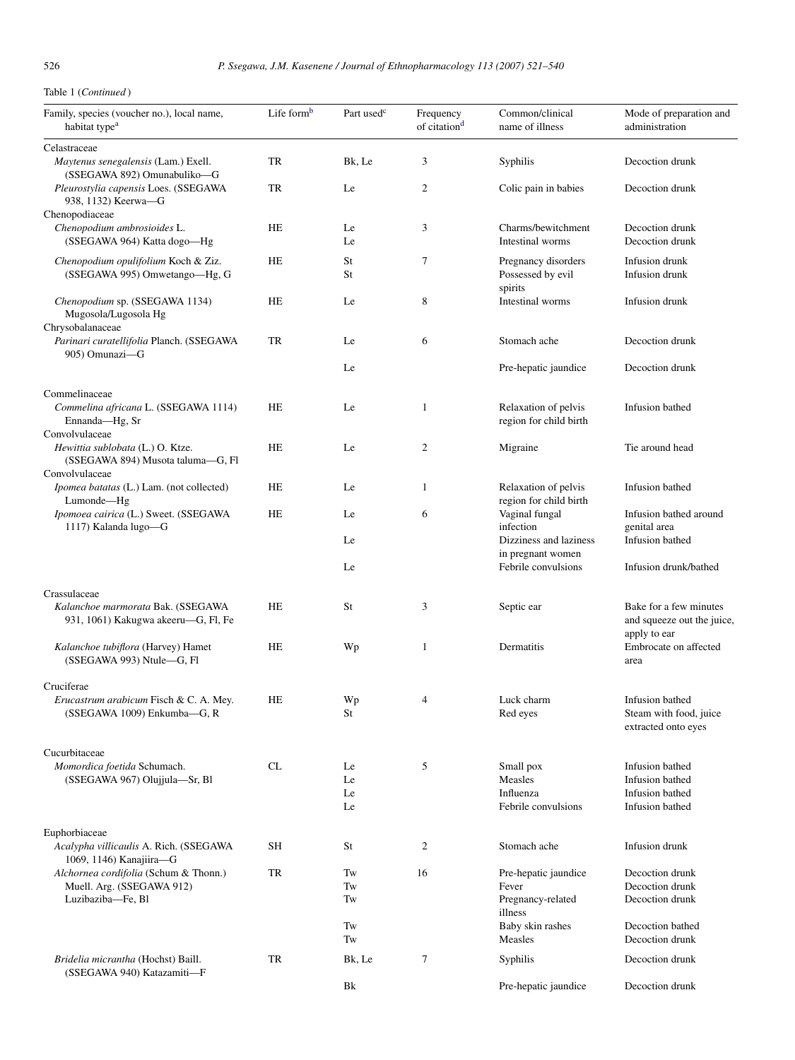| Family, species (voucher no.), local name,<br>habitat type <sup>a</sup>                  | Life form <sup>b</sup> | Part used <sup>c</sup> | Frequency<br>of citation <sup>d</sup> | Common/clinical<br>name of illness             | Mode of preparation and<br>administration                            |
|------------------------------------------------------------------------------------------|------------------------|------------------------|---------------------------------------|------------------------------------------------|----------------------------------------------------------------------|
| Celastraceae                                                                             |                        |                        |                                       |                                                |                                                                      |
| Maytenus senegalensis (Lam.) Exell.<br>(SSEGAWA 892) Omunabuliko-G                       | TR                     | Bk, Le                 | 3                                     | Syphilis                                       | Decoction drunk                                                      |
| Pleurostylia capensis Loes. (SSEGAWA<br>938, 1132) Keerwa-G                              | TR                     | Le                     | $\mathfrak{2}$                        | Colic pain in babies                           | Decoction drunk                                                      |
| Chenopodiaceae<br>Chenopodium ambrosioides L.<br>(SSEGAWA 964) Katta dogo-Hg             | HE                     | Le<br>Le               | 3                                     | Charms/bewitchment<br>Intestinal worms         | Decoction drunk<br>Decoction drunk                                   |
| Chenopodium opulifolium Koch & Ziz.<br>(SSEGAWA 995) Omwetango-Hg, G                     | HE                     | St<br>St               | 7                                     | Pregnancy disorders<br>Possessed by evil       | Infusion drunk<br>Infusion drunk                                     |
| Chenopodium sp. (SSEGAWA 1134)<br>Mugosola/Lugosola Hg                                   | HE                     | Le                     | 8                                     | spirits<br>Intestinal worms                    | Infusion drunk                                                       |
| Chrysobalanaceae<br>Parinari curatellifolia Planch. (SSEGAWA<br>905) Omunazi-G           | TR                     | Le                     | 6                                     | Stomach ache                                   | Decoction drunk                                                      |
|                                                                                          |                        | Le                     |                                       | Pre-hepatic jaundice                           | Decoction drunk                                                      |
| Commelinaceae                                                                            |                        |                        |                                       |                                                |                                                                      |
| Commelina africana L. (SSEGAWA 1114)<br>Ennanda—Hg, Sr<br>Convolvulaceae                 | HE                     | Le                     | $\mathbf{1}$                          | Relaxation of pelvis<br>region for child birth | Infusion bathed                                                      |
| Hewittia sublobata (L.) O. Ktze.<br>(SSEGAWA 894) Musota taluma-G, Fl                    | HE                     | Le                     | $\mathfrak{2}$                        | Migraine                                       | Tie around head                                                      |
| Convolvulaceae<br>Ipomea batatas (L.) Lam. (not collected)<br>Lumonde-Hg                 | HE                     | Le                     | $\mathbf{1}$                          | Relaxation of pelvis<br>region for child birth | Infusion bathed                                                      |
| Ipomoea cairica (L.) Sweet. (SSEGAWA<br>1117) Kalanda lugo-G                             | HE                     | Le                     | 6                                     | Vaginal fungal<br>infection                    | Infusion bathed around<br>genital area                               |
|                                                                                          |                        | Le                     |                                       | Dizziness and laziness<br>in pregnant women    | Infusion bathed                                                      |
|                                                                                          |                        | Le                     |                                       | Febrile convulsions                            | Infusion drunk/bathed                                                |
|                                                                                          |                        |                        |                                       |                                                |                                                                      |
| Crassulaceae<br>Kalanchoe marmorata Bak. (SSEGAWA<br>931, 1061) Kakugwa akeeru—G, Fl, Fe | HE                     | St                     | 3                                     | Septic ear                                     | Bake for a few minutes<br>and squeeze out the juice,<br>apply to ear |
| Kalanchoe tubiflora (Harvey) Hamet<br>(SSEGAWA 993) Ntule-G, Fl                          | HE                     | Wp                     | $\mathbf{1}$                          | Dermatitis                                     | Embrocate on affected<br>area                                        |
| Cruciferae                                                                               |                        |                        |                                       |                                                |                                                                      |
| Erucastrum arabicum Fisch & C. A. Mey.<br>(SSEGAWA 1009) Enkumba—G, R                    | HE                     | Wp<br>St               | 4                                     | Luck charm<br>Red eyes                         | Infusion bathed<br>Steam with food, juice<br>extracted onto eyes     |
| Cucurbitaceae                                                                            |                        |                        |                                       |                                                |                                                                      |
| Momordica foetida Schumach.                                                              | CL                     | Le                     | 5                                     | Small pox                                      | Infusion bathed                                                      |
| (SSEGAWA 967) Olujjula-Sr, Bl                                                            |                        | Le                     |                                       | Measles                                        | Infusion bathed                                                      |
|                                                                                          |                        | Le                     |                                       | Influenza                                      | Infusion bathed                                                      |
|                                                                                          |                        | Le                     |                                       | Febrile convulsions                            | Infusion bathed                                                      |
|                                                                                          |                        |                        |                                       |                                                |                                                                      |
| Euphorbiaceae<br>Acalypha villicaulis A. Rich. (SSEGAWA<br>1069, 1146) Kanajiira-G       | SH                     | St                     | 2                                     | Stomach ache                                   | Infusion drunk                                                       |
| Alchornea cordifolia (Schum & Thonn.)                                                    | TR                     | Tw                     | 16                                    | Pre-hepatic jaundice                           | Decoction drunk                                                      |
| Muell. Arg. (SSEGAWA 912)                                                                |                        | Tw                     |                                       | Fever                                          | Decoction drunk                                                      |
| Luzibaziba-Fe, Bl                                                                        |                        | Tw                     |                                       | Pregnancy-related<br>illness                   | Decoction drunk                                                      |
|                                                                                          |                        | Tw<br>Tw               |                                       | Baby skin rashes<br>Measles                    | Decoction bathed<br>Decoction drunk                                  |
| Bridelia micrantha (Hochst) Baill.<br>(SSEGAWA 940) Katazamiti-F                         | TR                     | Bk, Le                 | 7                                     | Syphilis                                       | Decoction drunk                                                      |
|                                                                                          |                        | Bk                     |                                       | Pre-hepatic jaundice                           | Decoction drunk                                                      |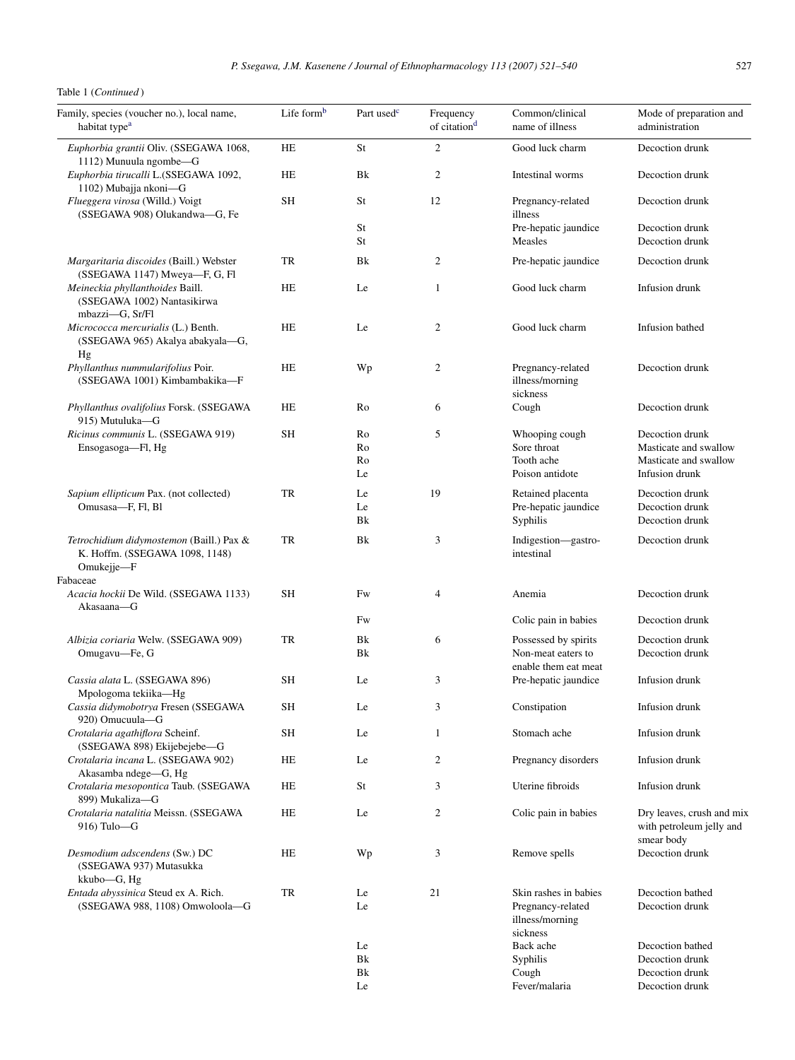| Family, species (voucher no.), local name,<br>habitat type <sup>a</sup>                  | Life form <sup>b</sup> | Part used <sup>c</sup> | Frequency<br>of citation <sup>d</sup> | Common/clinical<br>name of illness                                        | Mode of preparation and<br>administration                                           |
|------------------------------------------------------------------------------------------|------------------------|------------------------|---------------------------------------|---------------------------------------------------------------------------|-------------------------------------------------------------------------------------|
| Euphorbia grantii Oliv. (SSEGAWA 1068,<br>1112) Munuula ngombe-G                         | HE                     | St                     | $\overline{c}$                        | Good luck charm                                                           | Decoction drunk                                                                     |
| Euphorbia tirucalli L.(SSEGAWA 1092,<br>1102) Mubajja nkoni-G                            | HE                     | Bk                     | $\overline{c}$                        | Intestinal worms                                                          | Decoction drunk                                                                     |
| Flueggera virosa (Willd.) Voigt<br>(SSEGAWA 908) Olukandwa-G, Fe                         | SH                     | St                     | 12                                    | Pregnancy-related<br>illness                                              | Decoction drunk                                                                     |
|                                                                                          |                        | St<br>St               |                                       | Pre-hepatic jaundice<br>Measles                                           | Decoction drunk<br>Decoction drunk                                                  |
| Margaritaria discoides (Baill.) Webster<br>(SSEGAWA 1147) Mweya-F, G, Fl                 | TR                     | Bk                     | $\overline{c}$                        | Pre-hepatic jaundice                                                      | Decoction drunk                                                                     |
| Meineckia phyllanthoides Baill.<br>(SSEGAWA 1002) Nantasikirwa<br>mbazzi-G, Sr/Fl        | HE                     | Le                     | 1                                     | Good luck charm                                                           | Infusion drunk                                                                      |
| Micrococca mercurialis (L.) Benth.<br>(SSEGAWA 965) Akalya abakyala-G,<br>Hg             | HE                     | Le                     | 2                                     | Good luck charm                                                           | Infusion bathed                                                                     |
| Phyllanthus nummularifolius Poir.<br>(SSEGAWA 1001) Kimbambakika-F                       | HE                     | Wp                     | $\boldsymbol{2}$                      | Pregnancy-related<br>illness/morning<br>sickness                          | Decoction drunk                                                                     |
| Phyllanthus ovalifolius Forsk. (SSEGAWA<br>915) Mutuluka-G                               | HE                     | Ro                     | 6                                     | Cough                                                                     | Decoction drunk                                                                     |
| Ricinus communis L. (SSEGAWA 919)<br>Ensogasoga—Fl, Hg                                   | SН                     | Ro<br>Ro<br>Ro<br>Le   | 5                                     | Whooping cough<br>Sore throat<br>Tooth ache<br>Poison antidote            | Decoction drunk<br>Masticate and swallow<br>Masticate and swallow<br>Infusion drunk |
| Sapium ellipticum Pax. (not collected)<br>Omusasa-F, Fl, Bl                              | TR                     | Le<br>Le<br>Bk         | 19                                    | Retained placenta<br>Pre-hepatic jaundice<br>Syphilis                     | Decoction drunk<br>Decoction drunk<br>Decoction drunk                               |
| Tetrochidium didymostemon (Baill.) Pax &<br>K. Hoffm. (SSEGAWA 1098, 1148)<br>Omukejje-F | TR                     | Bk                     | 3                                     | Indigestion-gastro-<br>intestinal                                         | Decoction drunk                                                                     |
| Fabaceae                                                                                 |                        |                        |                                       |                                                                           |                                                                                     |
| Acacia hockii De Wild. (SSEGAWA 1133)<br>Akasaana-G                                      | SН                     | Fw<br>Fw               | 4                                     | Anemia<br>Colic pain in babies                                            | Decoction drunk<br>Decoction drunk                                                  |
|                                                                                          |                        |                        |                                       |                                                                           |                                                                                     |
| Albizia coriaria Welw. (SSEGAWA 909)<br>Omugavu-Fe, G                                    | TR                     | Bk<br>Bk               | 6                                     | Possessed by spirits<br>Non-meat eaters to<br>enable them eat meat        | Decoction drunk<br>Decoction drunk                                                  |
| Cassia alata L. (SSEGAWA 896)<br>Mpologoma tekiika—Hg                                    | SH                     | Le                     | 3                                     | Pre-hepatic jaundice                                                      | Infusion drunk                                                                      |
| Cassia didymobotrya Fresen (SSEGAWA<br>920) Omucuula—G                                   | SН                     | Le                     | 3                                     | Constipation                                                              | Infusion drunk                                                                      |
| Crotalaria agathiflora Scheinf.<br>(SSEGAWA 898) Ekijebejebe-G                           | SH                     | Le                     | $\mathbf{1}$                          | Stomach ache                                                              | Infusion drunk                                                                      |
| Crotalaria incana L. (SSEGAWA 902)<br>Akasamba ndege-G, Hg                               | HE                     | Le                     | $\overline{c}$                        | Pregnancy disorders                                                       | Infusion drunk                                                                      |
| Crotalaria mesopontica Taub. (SSEGAWA<br>899) Mukaliza-G                                 | HE                     | St                     | 3                                     | Uterine fibroids                                                          | Infusion drunk                                                                      |
| Crotalaria natalitia Meissn. (SSEGAWA<br>$916$ ) Tulo-G                                  | HE                     | Le                     | $\overline{c}$                        | Colic pain in babies                                                      | Dry leaves, crush and mix<br>with petroleum jelly and<br>smear body                 |
| Desmodium adscendens (Sw.) DC<br>(SSEGAWA 937) Mutasukka<br>kkubo-G, Hg                  | HE                     | Wp                     | 3                                     | Remove spells                                                             | Decoction drunk                                                                     |
| Entada abyssinica Steud ex A. Rich.<br>(SSEGAWA 988, 1108) Omwoloola-G                   | TR                     | Le<br>Le               | 21                                    | Skin rashes in babies<br>Pregnancy-related<br>illness/morning<br>sickness | Decoction bathed<br>Decoction drunk                                                 |
|                                                                                          |                        | Le                     |                                       | Back ache                                                                 | Decoction bathed                                                                    |
|                                                                                          |                        | Bk<br>Bk               |                                       | Syphilis<br>Cough                                                         | Decoction drunk<br>Decoction drunk                                                  |
|                                                                                          |                        | Le                     |                                       | Fever/malaria                                                             | Decoction drunk                                                                     |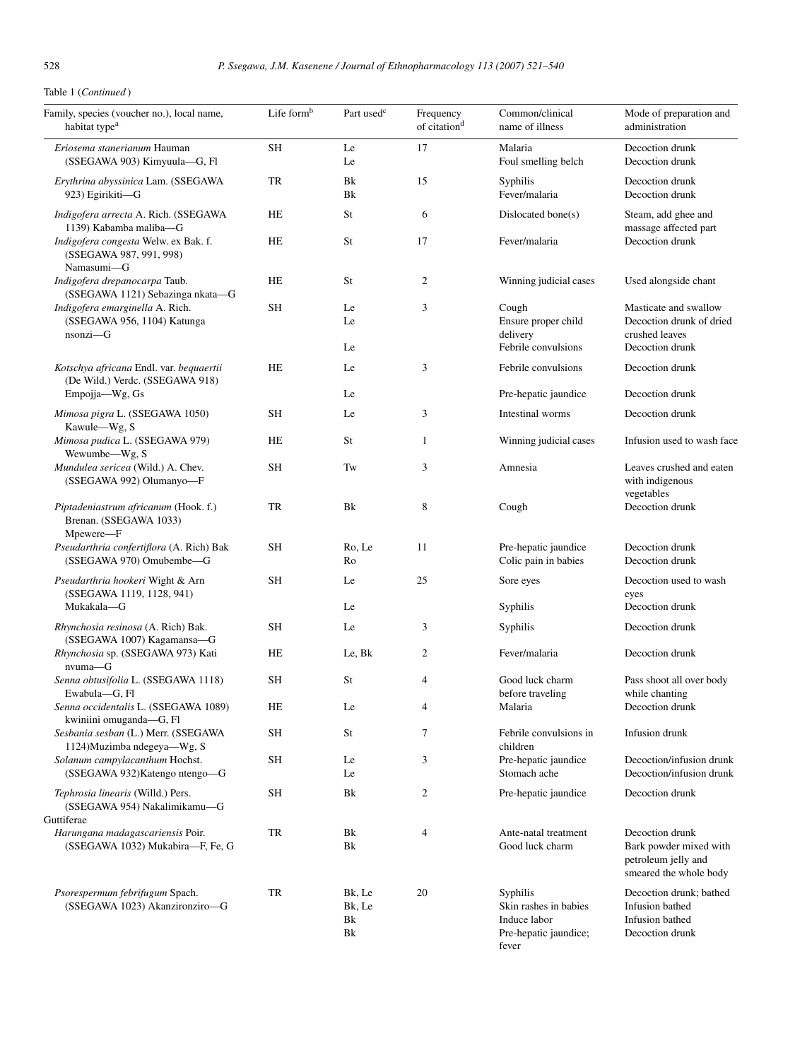| Family, species (voucher no.), local name,<br>habitat type <sup>a</sup>            | Life form <sup>b</sup> | Part used <sup>c</sup>       | Frequency<br>of citation <sup>d</sup> | Common/clinical<br>name of illness                                                  | Mode of preparation and<br>administration                                                  |
|------------------------------------------------------------------------------------|------------------------|------------------------------|---------------------------------------|-------------------------------------------------------------------------------------|--------------------------------------------------------------------------------------------|
| Eriosema stanerianum Hauman<br>(SSEGAWA 903) Kimyuula-G, Fl                        | <b>SH</b>              | Le<br>Le                     | 17                                    | Malaria<br>Foul smelling belch                                                      | Decoction drunk<br>Decoction drunk                                                         |
| Erythrina abyssinica Lam. (SSEGAWA<br>923) Egirikiti-G                             | TR                     | Bk<br>Bk                     | 15                                    | Syphilis<br>Fever/malaria                                                           | Decoction drunk<br>Decoction drunk                                                         |
| Indigofera arrecta A. Rich. (SSEGAWA<br>1139) Kabamba maliba-G                     | HE                     | St                           | 6                                     | Dislocated bone(s)                                                                  | Steam, add ghee and<br>massage affected part                                               |
| Indigofera congesta Welw. ex Bak. f.<br>(SSEGAWA 987, 991, 998)<br>Namasumi-G      | HE                     | St                           | 17                                    | Fever/malaria                                                                       | Decoction drunk                                                                            |
| Indigofera drepanocarpa Taub.<br>(SSEGAWA 1121) Sebazinga nkata-G                  | HE                     | St                           | $\overline{c}$                        | Winning judicial cases                                                              | Used alongside chant                                                                       |
| Indigofera emarginella A. Rich.<br>(SSEGAWA 956, 1104) Katunga<br>nsonzi-G         | <b>SH</b>              | Le<br>Le<br>Le               | 3                                     | Cough<br>Ensure proper child<br>delivery<br>Febrile convulsions                     | Masticate and swallow<br>Decoction drunk of dried<br>crushed leaves<br>Decoction drunk     |
| Kotschya africana Endl. var. bequaertii                                            | <b>HE</b>              | Le                           | 3                                     | Febrile convulsions                                                                 | Decoction drunk                                                                            |
| (De Wild.) Verdc. (SSEGAWA 918)<br>Empojja—Wg, Gs                                  |                        | Le                           |                                       | Pre-hepatic jaundice                                                                | Decoction drunk                                                                            |
| Mimosa pigra L. (SSEGAWA 1050)                                                     | <b>SH</b>              | Le                           | 3                                     | Intestinal worms                                                                    | Decoction drunk                                                                            |
| Kawule-Wg, S<br>Mimosa pudica L. (SSEGAWA 979)<br>Wewumbe-Wg, S                    | HE                     | St                           | $\mathbf{1}$                          | Winning judicial cases                                                              | Infusion used to wash face                                                                 |
| Mundulea sericea (Wild.) A. Chev.<br>(SSEGAWA 992) Olumanyo-F                      | <b>SH</b>              | Tw                           | 3                                     | Amnesia                                                                             | Leaves crushed and eaten<br>with indigenous<br>vegetables                                  |
| Piptadeniastrum africanum (Hook. f.)<br>Brenan. (SSEGAWA 1033)<br>Mpewere-F        | TR                     | Bk                           | 8                                     | Cough                                                                               | Decoction drunk                                                                            |
| Pseudarthria confertiflora (A. Rich) Bak<br>(SSEGAWA 970) Omubembe-G               | SН                     | Ro, Le<br>Ro                 | 11                                    | Pre-hepatic jaundice<br>Colic pain in babies                                        | Decoction drunk<br>Decoction drunk                                                         |
| Pseudarthria hookeri Wight & Arn<br>(SSEGAWA 1119, 1128, 941)                      | <b>SH</b>              | Le                           | 25                                    | Sore eyes                                                                           | Decoction used to wash<br>eyes                                                             |
| Mukakala-G<br>Rhynchosia resinosa (A. Rich) Bak.                                   |                        | Le                           |                                       | Syphilis                                                                            | Decoction drunk<br>Decoction drunk                                                         |
| (SSEGAWA 1007) Kagamansa-G                                                         | SН                     | Le                           | 3                                     | Syphilis                                                                            | Decoction drunk                                                                            |
| Rhynchosia sp. (SSEGAWA 973) Kati<br>nvuma-G                                       | HE                     | Le, Bk                       | $\overline{2}$                        | Fever/malaria                                                                       |                                                                                            |
| Senna obtusifolia L. (SSEGAWA 1118)<br>Ewabula-G, Fl                               | <b>SH</b>              | St                           | 4                                     | Good luck charm<br>before traveling                                                 | Pass shoot all over body<br>while chanting                                                 |
| Senna occidentalis L. (SSEGAWA 1089)<br>kwiniini omuganda-G, Fl                    | HE                     | Le                           | 4                                     | Malaria                                                                             | Decoction drunk                                                                            |
| Sesbania sesban (L.) Merr. (SSEGAWA<br>1124)Muzimba ndegeya-Wg, S                  | SН                     | St                           | $\tau$                                | Febrile convulsions in<br>children                                                  | Infusion drunk                                                                             |
| Solanum campylacanthum Hochst.<br>(SSEGAWA 932) Katengo ntengo-G                   | SН                     | Le<br>Le                     | 3                                     | Pre-hepatic jaundice<br>Stomach ache                                                | Decoction/infusion drunk<br>Decoction/infusion drunk                                       |
| Tephrosia linearis (Willd.) Pers.<br>(SSEGAWA 954) Nakalimikamu-G                  | SН                     | Bk                           | $\overline{c}$                        | Pre-hepatic jaundice                                                                | Decoction drunk                                                                            |
| Guttiferae<br>Harungana madagascariensis Poir.<br>(SSEGAWA 1032) Mukabira-F, Fe, G | TR                     | Bk<br>Bk                     | 4                                     | Ante-natal treatment<br>Good luck charm                                             | Decoction drunk<br>Bark powder mixed with<br>petroleum jelly and<br>smeared the whole body |
| Psorespermum febrifugum Spach.<br>(SSEGAWA 1023) Akanzironziro-G                   | TR                     | Bk, Le<br>Bk, Le<br>Bk<br>Bk | 20                                    | Syphilis<br>Skin rashes in babies<br>Induce labor<br>Pre-hepatic jaundice;<br>fever | Decoction drunk; bathed<br>Infusion bathed<br>Infusion bathed<br>Decoction drunk           |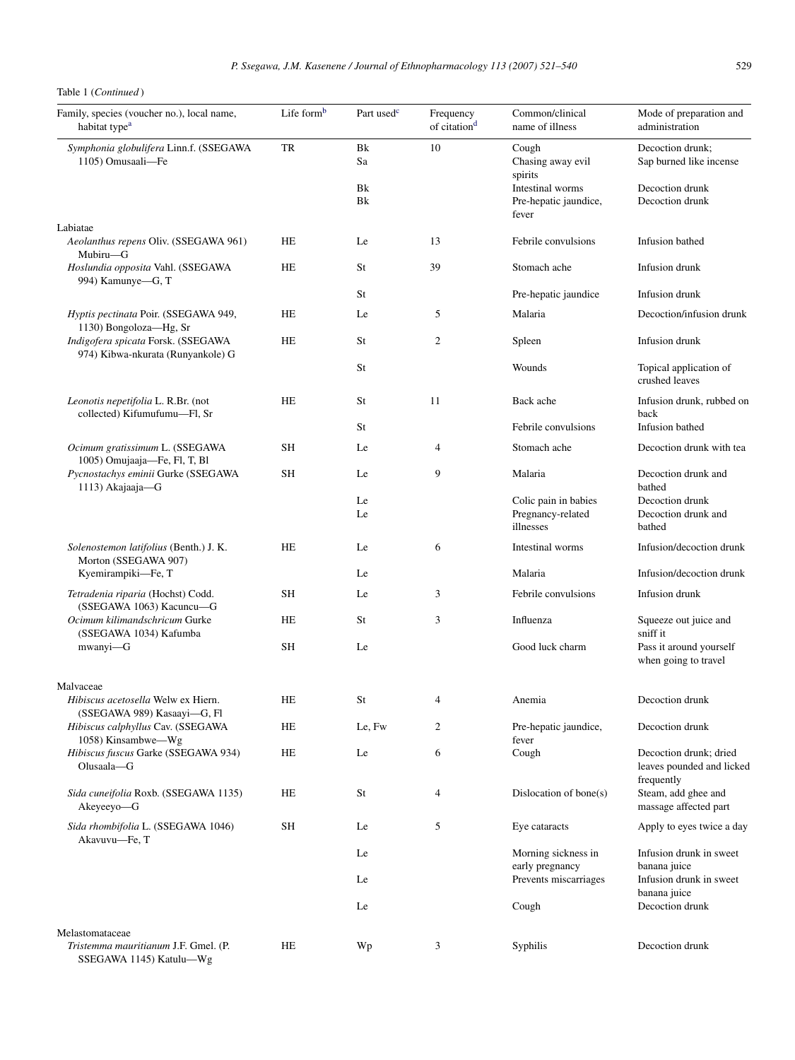| Family, species (voucher no.), local name,<br>habitat type <sup>a</sup>            | Life form <sup>b</sup> | Part used <sup>c</sup> | Frequency<br>of citation <sup>d</sup> | Common/clinical<br>name of illness                     | Mode of preparation and<br>administration                         |
|------------------------------------------------------------------------------------|------------------------|------------------------|---------------------------------------|--------------------------------------------------------|-------------------------------------------------------------------|
| Symphonia globulifera Linn.f. (SSEGAWA<br>1105) Omusaali-Fe                        | TR                     | Bk<br>Sa               | 10                                    | Cough<br>Chasing away evil<br>spirits                  | Decoction drunk;<br>Sap burned like incense                       |
|                                                                                    |                        | Bk<br>Bk               |                                       | Intestinal worms<br>Pre-hepatic jaundice,<br>fever     | Decoction drunk<br>Decoction drunk                                |
| Labiatae<br>Aeolanthus repens Oliv. (SSEGAWA 961)                                  | HE                     | Le                     | 13                                    | Febrile convulsions                                    | Infusion bathed                                                   |
| Mubiru-G<br>Hoslundia opposita Vahl. (SSEGAWA                                      | HE                     | St                     | 39                                    | Stomach ache                                           | Infusion drunk                                                    |
| 994) Kamunye-G, T                                                                  |                        | St                     |                                       | Pre-hepatic jaundice                                   | Infusion drunk                                                    |
| Hyptis pectinata Poir. (SSEGAWA 949,<br>1130) Bongoloza-Hg, Sr                     | HE                     | Le                     | 5                                     | Malaria                                                | Decoction/infusion drunk                                          |
| Indigofera spicata Forsk. (SSEGAWA<br>974) Kibwa-nkurata (Runyankole) G            | HE                     | St                     | 2                                     | Spleen                                                 | Infusion drunk                                                    |
|                                                                                    |                        | St                     |                                       | Wounds                                                 | Topical application of<br>crushed leaves                          |
| Leonotis nepetifolia L. R.Br. (not<br>collected) Kifumufumu-Fl, Sr                 | HE                     | St                     | 11                                    | Back ache                                              | Infusion drunk, rubbed on<br>back                                 |
|                                                                                    |                        | St                     |                                       | Febrile convulsions                                    | Infusion bathed                                                   |
| Ocimum gratissimum L. (SSEGAWA<br>1005) Omujaaja-Fe, Fl, T, Bl                     | <b>SH</b>              | Le                     | 4                                     | Stomach ache                                           | Decoction drunk with tea                                          |
| Pycnostachys eminii Gurke (SSEGAWA<br>1113) Akajaaja-G                             | <b>SH</b>              | Le                     | 9                                     | Malaria                                                | Decoction drunk and<br>bathed                                     |
|                                                                                    |                        | Le<br>Le               |                                       | Colic pain in babies<br>Pregnancy-related<br>illnesses | Decoction drunk<br>Decoction drunk and<br>bathed                  |
| Solenostemon latifolius (Benth.) J. K.<br>Morton (SSEGAWA 907)                     | HE                     | Le                     | 6                                     | Intestinal worms                                       | Infusion/decoction drunk                                          |
| Kyemirampiki-Fe, T                                                                 |                        | Le                     |                                       | Malaria                                                | Infusion/decoction drunk                                          |
| Tetradenia riparia (Hochst) Codd.<br>(SSEGAWA 1063) Kacuncu-G                      | <b>SH</b>              | Le                     | 3                                     | Febrile convulsions                                    | Infusion drunk                                                    |
| Ocimum kilimandschricum Gurke<br>(SSEGAWA 1034) Kafumba                            | HE                     | St                     | 3                                     | Influenza                                              | Squeeze out juice and<br>sniff it                                 |
| mwanyi—G                                                                           | SН                     | Le                     |                                       | Good luck charm                                        | Pass it around yourself<br>when going to travel                   |
| Malvaceae                                                                          |                        |                        |                                       |                                                        |                                                                   |
| <i>Hibiscus acetosella</i> Welw ex Hiern.<br>(SSEGAWA 989) Kasaayi-G, Fl           | HE                     | St                     | 4                                     | Anemia                                                 | Decoction drunk                                                   |
| Hibiscus calphyllus Cav. (SSEGAWA<br>1058) Kinsambwe-Wg                            | HE                     | Le, Fw                 | 2                                     | Pre-hepatic jaundice,<br>fever                         | Decoction drunk                                                   |
| Hibiscus fuscus Garke (SSEGAWA 934)<br>Olusaala-G                                  | HE                     | Le                     | 6                                     | Cough                                                  | Decoction drunk; dried<br>leaves pounded and licked<br>frequently |
| Sida cuneifolia Roxb. (SSEGAWA 1135)<br>Akeyeeyo-G                                 | HE                     | St                     | 4                                     | Dislocation of bone $(s)$                              | Steam, add ghee and<br>massage affected part                      |
| Sida rhombifolia L. (SSEGAWA 1046)<br>Akavuvu-Fe, T                                | <b>SH</b>              | Le                     | 5                                     | Eye cataracts                                          | Apply to eyes twice a day                                         |
|                                                                                    |                        | Le                     |                                       | Morning sickness in<br>early pregnancy                 | Infusion drunk in sweet<br>banana juice                           |
|                                                                                    |                        | Le                     |                                       | Prevents miscarriages                                  | Infusion drunk in sweet<br>banana juice                           |
|                                                                                    |                        | Le                     |                                       | Cough                                                  | Decoction drunk                                                   |
| Melastomataceae<br>Tristemma mauritianum J.F. Gmel. (P.<br>SSEGAWA 1145) Katulu-Wg | HE                     | Wp                     | 3                                     | Syphilis                                               | Decoction drunk                                                   |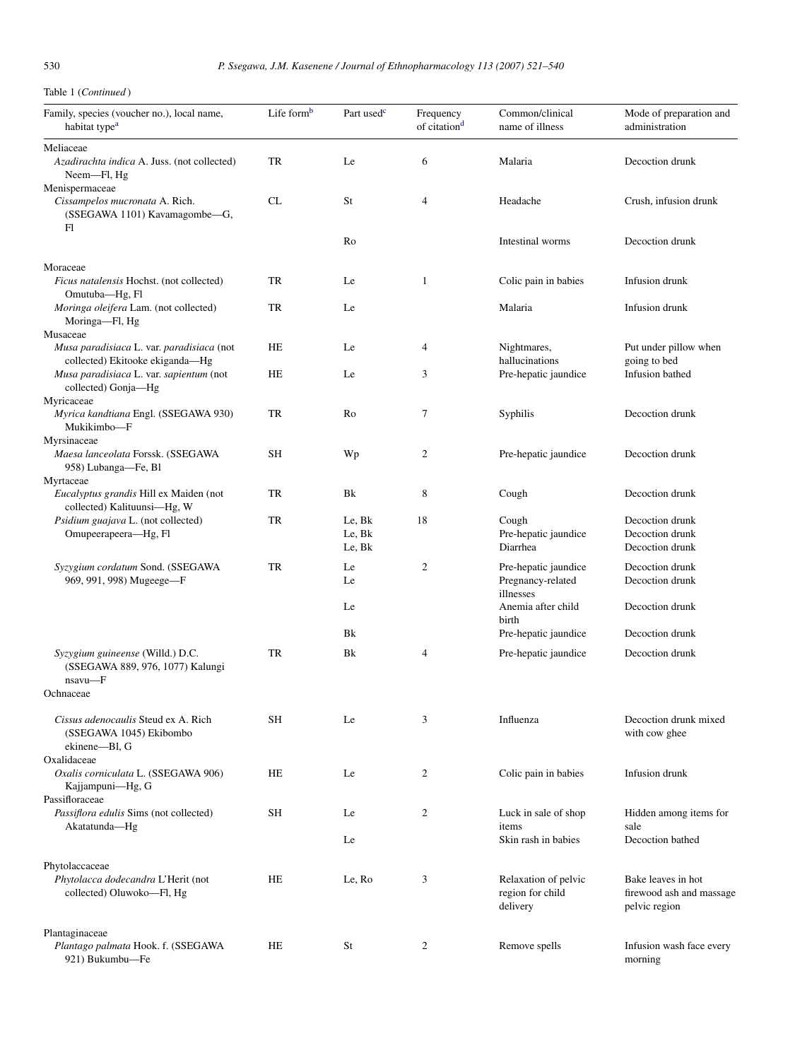| Family, species (voucher no.), local name,<br>habitat type <sup>a</sup>                  | Life form <sup>b</sup> | Part used <sup>c</sup>     | Frequency<br>of citation <sup>d</sup> | Common/clinical<br>name of illness                     | Mode of preparation and<br>administration                       |
|------------------------------------------------------------------------------------------|------------------------|----------------------------|---------------------------------------|--------------------------------------------------------|-----------------------------------------------------------------|
| Meliaceae<br>Azadirachta indica A. Juss. (not collected)<br>Neem—Fl, Hg                  | TR                     | Le                         | 6                                     | Malaria                                                | Decoction drunk                                                 |
| Menispermaceae<br>Cissampelos mucronata A. Rich.<br>(SSEGAWA 1101) Kavamagombe-G,        | CL                     | St                         | 4                                     | Headache                                               | Crush, infusion drunk                                           |
| Fl                                                                                       |                        | Ro                         |                                       | Intestinal worms                                       | Decoction drunk                                                 |
| Moraceae<br>Ficus natalensis Hochst. (not collected)<br>Omutuba-Hg, Fl                   | TR                     | Le                         | 1                                     | Colic pain in babies                                   | Infusion drunk                                                  |
| Moringa oleifera Lam. (not collected)<br>Moringa-Fl, Hg                                  | TR                     | Le                         |                                       | Malaria                                                | Infusion drunk                                                  |
| Musaceae<br>Musa paradisiaca L. var. paradisiaca (not<br>collected) Ekitooke ekiganda-Hg | HE                     | Le                         | 4                                     | Nightmares,<br>hallucinations                          | Put under pillow when<br>going to bed                           |
| Musa paradisiaca L. var. sapientum (not<br>collected) Gonja-Hg                           | HE                     | Le                         | 3                                     | Pre-hepatic jaundice                                   | Infusion bathed                                                 |
| Myricaceae<br>Myrica kandtiana Engl. (SSEGAWA 930)<br>Mukikimbo-F                        | TR                     | Ro                         | 7                                     | Syphilis                                               | Decoction drunk                                                 |
| Myrsinaceae<br>Maesa lanceolata Forssk. (SSEGAWA<br>958) Lubanga-Fe, Bl                  | SH                     | Wp                         | $\boldsymbol{2}$                      | Pre-hepatic jaundice                                   | Decoction drunk                                                 |
| Myrtaceae<br>Eucalyptus grandis Hill ex Maiden (not<br>collected) Kalituunsi-Hg, W       | TR                     | Bk                         | 8                                     | Cough                                                  | Decoction drunk                                                 |
| Psidium guajava L. (not collected)<br>Omupeerapeera-Hg, Fl                               | TR                     | Le, Bk<br>Le, Bk<br>Le, Bk | 18                                    | Cough<br>Pre-hepatic jaundice<br>Diarrhea              | Decoction drunk<br>Decoction drunk<br>Decoction drunk           |
| Syzygium cordatum Sond. (SSEGAWA<br>969, 991, 998) Mugeege-F                             | TR                     | Le<br>Le                   | $\overline{2}$                        | Pre-hepatic jaundice<br>Pregnancy-related<br>illnesses | Decoction drunk<br>Decoction drunk                              |
|                                                                                          |                        | Le                         |                                       | Anemia after child<br>birth                            | Decoction drunk                                                 |
|                                                                                          |                        | Bk                         |                                       | Pre-hepatic jaundice                                   | Decoction drunk                                                 |
| Syzygium guineense (Willd.) D.C.<br>(SSEGAWA 889, 976, 1077) Kalungi<br>nsavu-F          | TR                     | Bk                         | $\overline{4}$                        | Pre-hepatic jaundice                                   | Decoction drunk                                                 |
| Ochnaceae                                                                                |                        |                            |                                       |                                                        |                                                                 |
| Cissus adenocaulis Steud ex A. Rich<br>(SSEGAWA 1045) Ekibombo<br>ekinene—Bl, G          | SН                     | Le                         | 3                                     | Influenza                                              | Decoction drunk mixed<br>with cow ghee                          |
| Oxalidaceae<br>Oxalis corniculata L. (SSEGAWA 906)<br>Kajjampuni-Hg, G                   | HE                     | Le                         | $\overline{c}$                        | Colic pain in babies                                   | Infusion drunk                                                  |
| Passifloraceae<br>Passiflora edulis Sims (not collected)                                 | SH                     | Le                         | $\overline{c}$                        | Luck in sale of shop                                   | Hidden among items for                                          |
| Akatatunda—Hg                                                                            |                        | Le                         |                                       | items<br>Skin rash in babies                           | sale<br>Decoction bathed                                        |
| Phytolaccaceae<br>Phytolacca dodecandra L'Herit (not<br>collected) Oluwoko-Fl, Hg        | HE                     | Le, Ro                     | 3                                     | Relaxation of pelvic<br>region for child<br>delivery   | Bake leaves in hot<br>firewood ash and massage<br>pelvic region |
| Plantaginaceae<br>Plantago palmata Hook. f. (SSEGAWA<br>921) Bukumbu-Fe                  | HE                     | St                         | 2                                     | Remove spells                                          | Infusion wash face every<br>morning                             |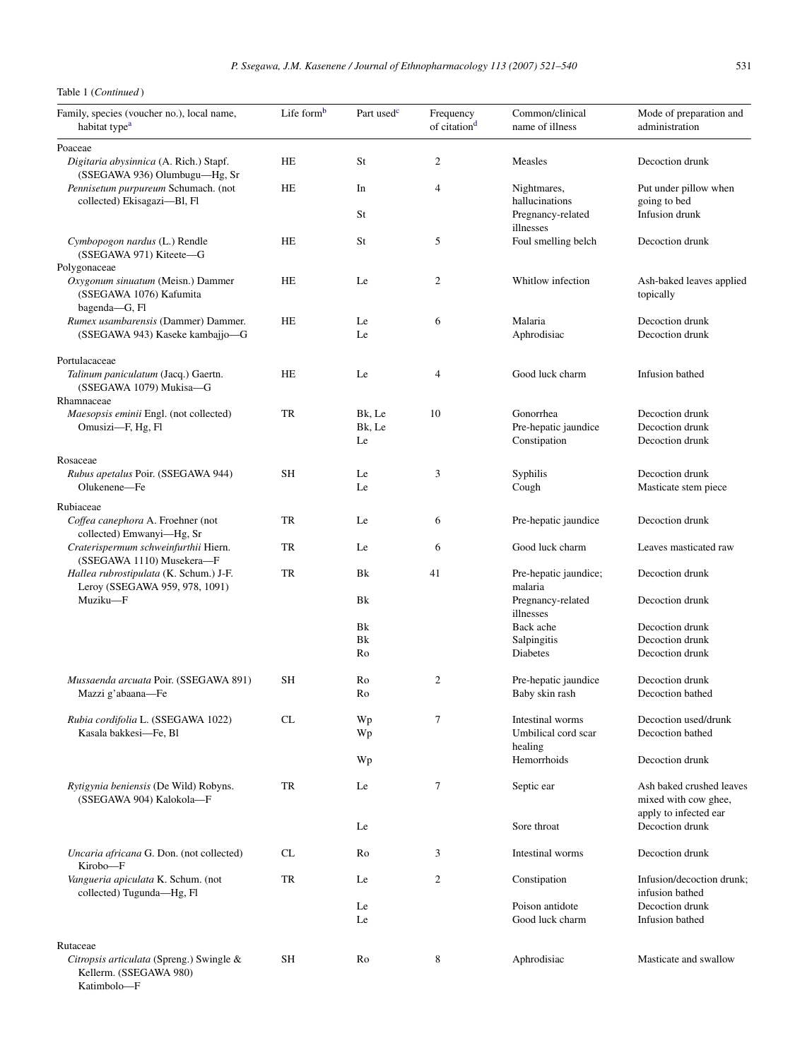| Family, species (voucher no.), local name,<br>habitat type <sup>a</sup>                       | Life form <sup>b</sup> | Part used <sup>c</sup> | Frequency<br>of citation <sup>d</sup> | Common/clinical<br>name of illness                 | Mode of preparation and<br>administration                                 |
|-----------------------------------------------------------------------------------------------|------------------------|------------------------|---------------------------------------|----------------------------------------------------|---------------------------------------------------------------------------|
| Poaceae                                                                                       |                        |                        |                                       |                                                    |                                                                           |
| Digitaria abysinnica (A. Rich.) Stapf.<br>(SSEGAWA 936) Olumbugu-Hg, Sr                       | HE                     | St                     | $\overline{c}$                        | Measles                                            | Decoction drunk                                                           |
| Pennisetum purpureum Schumach. (not<br>collected) Ekisagazi-Bl, Fl                            | HE                     | In<br>St               | 4                                     | Nightmares,<br>hallucinations<br>Pregnancy-related | Put under pillow when<br>going to bed<br>Infusion drunk                   |
| Cymbopogon nardus (L.) Rendle<br>(SSEGAWA 971) Kiteete-G                                      | HE                     | St                     | 5                                     | illnesses<br>Foul smelling belch                   | Decoction drunk                                                           |
| Polygonaceae<br>Oxygonum sinuatum (Meisn.) Dammer<br>(SSEGAWA 1076) Kafumita<br>bagenda-G, Fl | HE                     | Le                     | 2                                     | Whitlow infection                                  | Ash-baked leaves applied<br>topically                                     |
| Rumex usambarensis (Dammer) Dammer.<br>(SSEGAWA 943) Kaseke kambajjo-G                        | HE                     | Le<br>Le               | 6                                     | Malaria<br>Aphrodisiac                             | Decoction drunk<br>Decoction drunk                                        |
|                                                                                               |                        |                        |                                       |                                                    |                                                                           |
| Portulacaceae<br>Talinum paniculatum (Jacq.) Gaertn.<br>(SSEGAWA 1079) Mukisa-G<br>Rhamnaceae | HE                     | Le                     | 4                                     | Good luck charm                                    | Infusion bathed                                                           |
| Maesopsis eminii Engl. (not collected)<br>Omusizi-F, Hg, Fl                                   | TR                     | Bk, Le<br>Bk, Le<br>Le | 10                                    | Gonorrhea<br>Pre-hepatic jaundice<br>Constipation  | Decoction drunk<br>Decoction drunk<br>Decoction drunk                     |
| Rosaceae                                                                                      |                        |                        |                                       |                                                    |                                                                           |
| Rubus apetalus Poir. (SSEGAWA 944)<br>Olukenene-Fe                                            | <b>SH</b>              | Le<br>Le               | 3                                     | Syphilis<br>Cough                                  | Decoction drunk<br>Masticate stem piece                                   |
| Rubiaceae                                                                                     |                        |                        |                                       |                                                    |                                                                           |
| Coffea canephora A. Froehner (not<br>collected) Emwanyi-Hg, Sr                                | TR                     | Le                     | 6                                     | Pre-hepatic jaundice                               | Decoction drunk                                                           |
| Craterispermum schweinfurthii Hiern.<br>(SSEGAWA 1110) Musekera-F                             | TR                     | Le                     | 6                                     | Good luck charm                                    | Leaves masticated raw                                                     |
| Hallea rubrostipulata (K. Schum.) J-F.<br>Leroy (SSEGAWA 959, 978, 1091)                      | TR                     | Bk                     | 41                                    | Pre-hepatic jaundice;<br>malaria                   | Decoction drunk                                                           |
| Muziku-F                                                                                      |                        | Bk                     |                                       | Pregnancy-related<br>illnesses                     | Decoction drunk                                                           |
|                                                                                               |                        | Bk                     |                                       | Back ache                                          | Decoction drunk                                                           |
|                                                                                               |                        | Bk                     |                                       | Salpingitis                                        | Decoction drunk                                                           |
|                                                                                               |                        | Ro                     |                                       | Diabetes                                           | Decoction drunk                                                           |
| Mussaenda arcuata Poir. (SSEGAWA 891)                                                         | SН                     | Ro                     | $\boldsymbol{2}$                      | Pre-hepatic jaundice                               | Decoction drunk                                                           |
| Mazzi g'abaana-Fe                                                                             |                        | Ro                     |                                       | Baby skin rash                                     | Decoction bathed                                                          |
| Rubia cordifolia L. (SSEGAWA 1022)<br>Kasala bakkesi-Fe, Bl                                   | CL                     | Wp<br>Wp               | 7                                     | Intestinal worms<br>Umbilical cord scar<br>healing | Decoction used/drunk<br>Decoction bathed                                  |
|                                                                                               |                        | Wp                     |                                       | Hemorrhoids                                        | Decoction drunk                                                           |
| Rytigynia beniensis (De Wild) Robyns.<br>(SSEGAWA 904) Kalokola-F                             | TR                     | Le                     | 7                                     | Septic ear                                         | Ash baked crushed leaves<br>mixed with cow ghee,<br>apply to infected ear |
|                                                                                               |                        | Le                     |                                       | Sore throat                                        | Decoction drunk                                                           |
| Uncaria africana G. Don. (not collected)<br>Kirobo-F                                          | CL                     | Ro                     | 3                                     | Intestinal worms                                   | Decoction drunk                                                           |
| Vangueria apiculata K. Schum. (not<br>collected) Tugunda-Hg, Fl                               | TR                     | Le                     | 2                                     | Constipation                                       | Infusion/decoction drunk;<br>infusion bathed                              |
|                                                                                               |                        | Le<br>Le               |                                       | Poison antidote<br>Good luck charm                 | Decoction drunk<br>Infusion bathed                                        |
|                                                                                               |                        |                        |                                       |                                                    |                                                                           |
| Rutaceae<br>Citropsis articulata (Spreng.) Swingle &<br>Kellerm. (SSEGAWA 980)<br>Katimbolo-F | SН                     | Ro                     | 8                                     | Aphrodisiac                                        | Masticate and swallow                                                     |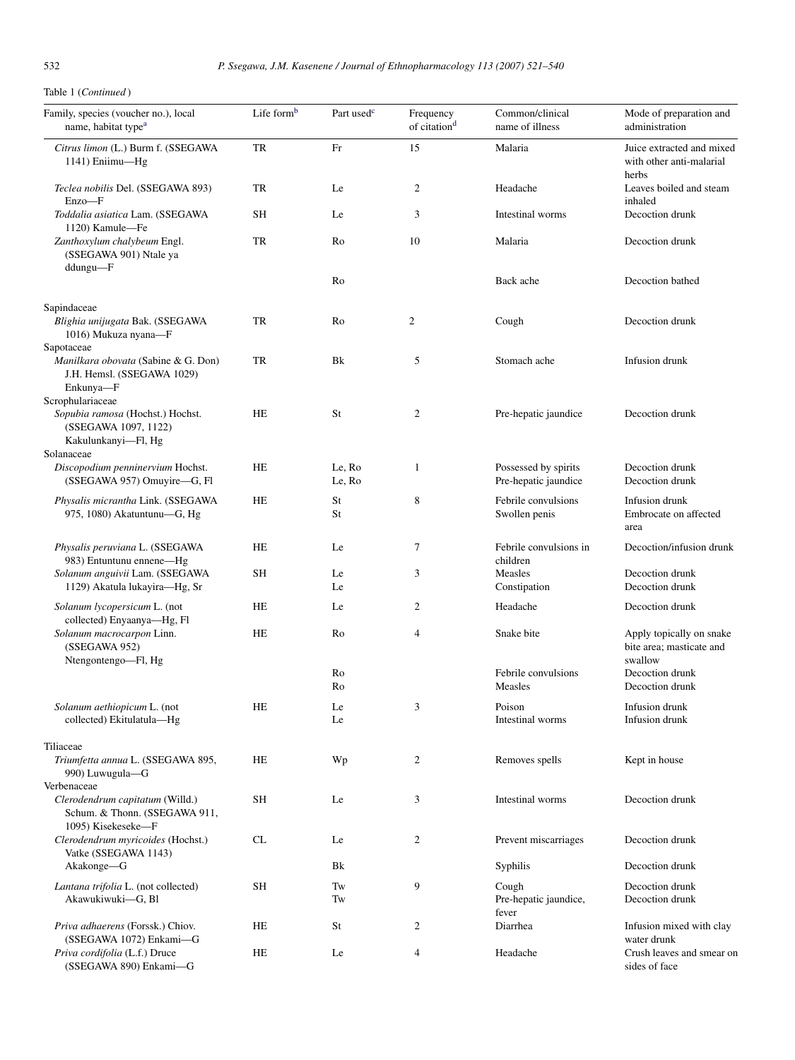| Family, species (voucher no.), local<br>name, habitat type <sup>a</sup>                             | Life form <sup>b</sup> | Part used <sup>c</sup> | Frequency<br>of citation <sup>d</sup> | Common/clinical<br>name of illness           | Mode of preparation and<br>administration                       |
|-----------------------------------------------------------------------------------------------------|------------------------|------------------------|---------------------------------------|----------------------------------------------|-----------------------------------------------------------------|
| Citrus limon (L.) Burm f. (SSEGAWA<br>1141) Eniimu—Hg                                               | TR                     | Fr                     | 15                                    | Malaria                                      | Juice extracted and mixed<br>with other anti-malarial<br>herbs  |
| Teclea nobilis Del. (SSEGAWA 893)<br>$Enzo-F$                                                       | TR                     | Le                     | $\overline{c}$                        | Headache                                     | Leaves boiled and steam<br>inhaled                              |
| Toddalia asiatica Lam. (SSEGAWA<br>1120) Kamule-Fe                                                  | <b>SH</b>              | Le                     | 3                                     | Intestinal worms                             | Decoction drunk                                                 |
| Zanthoxylum chalybeum Engl.<br>(SSEGAWA 901) Ntale ya                                               | TR                     | Ro                     | 10                                    | Malaria                                      | Decoction drunk                                                 |
| $ddungu-F$                                                                                          |                        | Ro                     |                                       | Back ache                                    | Decoction bathed                                                |
| Sapindaceae<br>Blighia unijugata Bak. (SSEGAWA<br>1016) Mukuza nyana-F                              | <b>TR</b>              | Ro                     | $\overline{2}$                        | Cough                                        | Decoction drunk                                                 |
| Sapotaceae<br>Manilkara obovata (Sabine & G. Don)<br>J.H. Hemsl. (SSEGAWA 1029)<br>Enkunya-F        | <b>TR</b>              | <b>B</b> <sub>k</sub>  | 5                                     | Stomach ache                                 | Infusion drunk                                                  |
| Scrophulariaceae<br>Sopubia ramosa (Hochst.) Hochst.<br>(SSEGAWA 1097, 1122)<br>Kakulunkanyi-Fl, Hg | HE                     | St                     | 2                                     | Pre-hepatic jaundice                         | Decoction drunk                                                 |
| Solanaceae<br>Discopodium penninervium Hochst.<br>(SSEGAWA 957) Omuyire-G, Fl                       | HE                     | Le, Ro<br>Le, Ro       | $\mathbf{1}$                          | Possessed by spirits<br>Pre-hepatic jaundice | Decoction drunk<br>Decoction drunk                              |
| Physalis micrantha Link. (SSEGAWA<br>975, 1080) Akatuntunu-G, Hg                                    | HE                     | St<br>St               | 8                                     | Febrile convulsions<br>Swollen penis         | Infusion drunk<br>Embrocate on affected<br>area                 |
| Physalis peruviana L. (SSEGAWA<br>983) Entuntunu ennene-Hg                                          | HE                     | Le                     | 7                                     | Febrile convulsions in<br>children           | Decoction/infusion drunk                                        |
| Solanum anguivii Lam. (SSEGAWA<br>1129) Akatula lukayira-Hg, Sr                                     | <b>SH</b>              | Le<br>Le               | 3                                     | Measles<br>Constipation                      | Decoction drunk<br>Decoction drunk                              |
| Solanum lycopersicum L. (not<br>collected) Enyaanya-Hg, Fl                                          | HE                     | Le                     | $\overline{c}$                        | Headache                                     | Decoction drunk                                                 |
| Solanum macrocarpon Linn.<br>(SSEGAWA 952)<br>Ntengontengo—Fl, Hg                                   | HE                     | Ro                     | 4                                     | Snake bite                                   | Apply topically on snake<br>bite area; masticate and<br>swallow |
|                                                                                                     |                        | Ro<br>Ro               |                                       | Febrile convulsions<br>Measles               | Decoction drunk<br>Decoction drunk                              |
| Solanum aethiopicum L. (not<br>collected) Ekitulatula-Hg                                            | HE                     | Le<br>Le               | 3                                     | Poison<br>Intestinal worms                   | Infusion drunk<br>Infusion drunk                                |
| Tiliaceae<br>Triumfetta annua L. (SSEGAWA 895,<br>990) Luwugula-G<br>Verbenaceae                    | HE                     | Wp                     | $\overline{2}$                        | Removes spells                               | Kept in house                                                   |
| Clerodendrum capitatum (Willd.)<br>Schum. & Thonn. (SSEGAWA 911,<br>1095) Kisekeseke-F              | SН                     | Le                     | 3                                     | Intestinal worms                             | Decoction drunk                                                 |
| Clerodendrum myricoides (Hochst.)<br>Vatke (SSEGAWA 1143)                                           | CL                     | Le                     | $\overline{c}$                        | Prevent miscarriages                         | Decoction drunk                                                 |
| Akakonge-G                                                                                          |                        | Bk                     |                                       | Syphilis                                     | Decoction drunk                                                 |
| Lantana trifolia L. (not collected)<br>Akawukiwuki-G, Bl                                            | <b>SH</b>              | Tw<br>Tw               | 9                                     | Cough<br>Pre-hepatic jaundice,<br>fever      | Decoction drunk<br>Decoction drunk                              |
| Priva adhaerens (Forssk.) Chiov.<br>(SSEGAWA 1072) Enkami-G                                         | HE                     | St                     | $\overline{c}$                        | Diarrhea                                     | Infusion mixed with clay<br>water drunk                         |
| Priva cordifolia (L.f.) Druce<br>(SSEGAWA 890) Enkami-G                                             | HE                     | Le                     | 4                                     | Headache                                     | Crush leaves and smear on<br>sides of face                      |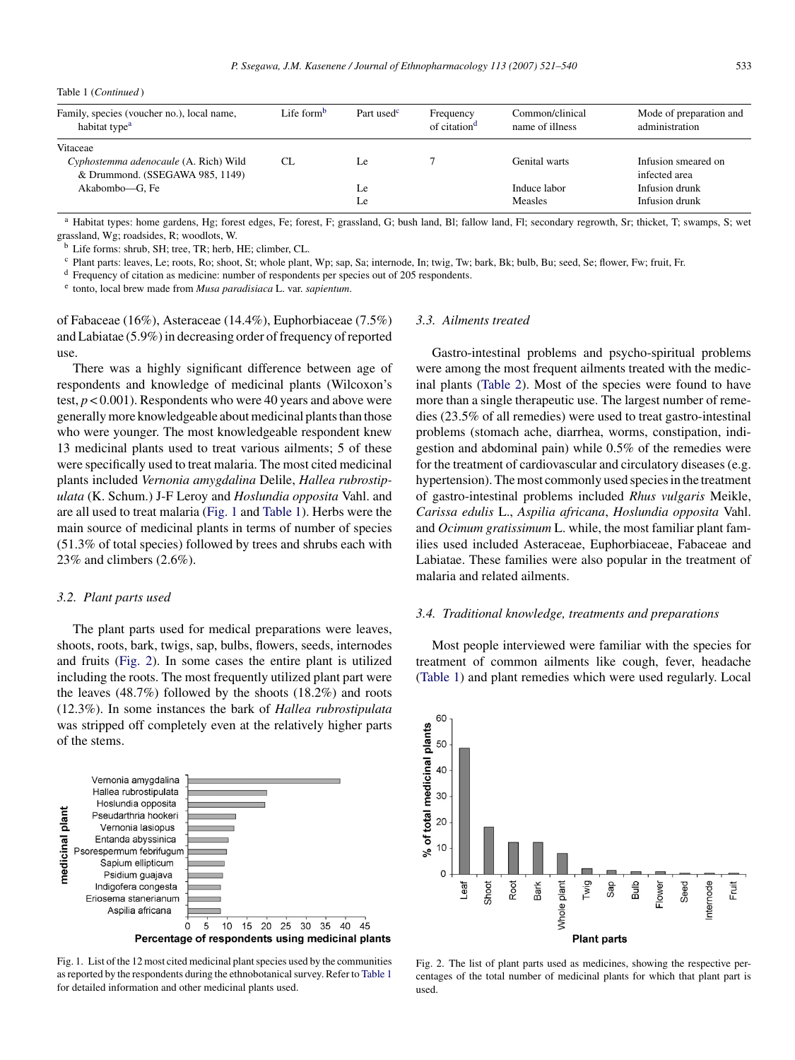<span id="page-12-0"></span>

|  | Table 1 (Continued) |  |
|--|---------------------|--|
|--|---------------------|--|

| Family, species (voucher no.), local name,<br>habitat type <sup>a</sup>              | Life form <sup>b</sup> | Part used <sup>c</sup> | Frequency<br>of citation <sup>d</sup> | Common/clinical<br>name of illness | Mode of preparation and<br>administration |
|--------------------------------------------------------------------------------------|------------------------|------------------------|---------------------------------------|------------------------------------|-------------------------------------------|
| Vitaceae<br>Cyphostemma adenocaule (A. Rich) Wild<br>& Drummond. (SSEGAWA 985, 1149) | CL                     | Le.                    |                                       | Genital warts                      | Infusion smeared on<br>infected area      |
| Akabombo—G. Fe                                                                       |                        | Le<br>Le               |                                       | Induce labor<br>Measles            | Infusion drunk<br>Infusion drunk          |

<sup>a</sup> Habitat types: home gardens, Hg; forest edges, Fe; forest, F; grassland, G; bush land, Bl; fallow land, Fl; secondary regrowth, Sr; thicket, T; swamps, S; wet grassland, Wg; roadsides, R; woodlots, W.

Life forms: shrub, SH; tree, TR; herb, HE; climber, CL.

<sup>c</sup> Plant parts: leaves, Le; roots, Ro; shoot, St; whole plant, Wp; sap, Sa; internode, In; twig, Tw; bark, Bk; bulb, Bu; seed, Se; flower, Fw; fruit, Fr.

 $d$  Frequency of citation as medicine: number of respondents per species out of 205 respondents.

<sup>e</sup> tonto, local brew made from *Musa paradisiaca* L. var. *sapientum*.

of Fabaceae (16%), Asteraceae (14.4%), Euphorbiaceae (7.5%) and Labiatae (5.9%) in decreasing order of frequency of reported use.

There was a highly significant difference between age of respondents and knowledge of medicinal plants (Wilcoxon's test,  $p < 0.001$ ). Respondents who were 40 years and above were generally more knowledgeable about medicinal plants than those who were younger. The most knowledgeable respondent knew 13 medicinal plants used to treat various ailments; 5 of these were specifically used to treat malaria. The most cited medicinal plants included *Vernonia amygdalina* Delile, *Hallea rubrostipulata* (K. Schum.) J-F Leroy and *Hoslundia opposita* Vahl. and are all used to treat malaria (Fig. 1 and [Table 1\).](#page-2-0) Herbs were the main source of medicinal plants in terms of number of species (51.3% of total species) followed by trees and shrubs each with 23% and climbers (2.6%).

#### *3.2. Plant parts used*

The plant parts used for medical preparations were leaves, shoots, roots, bark, twigs, sap, bulbs, flowers, seeds, internodes and fruits (Fig. 2). In some cases the entire plant is utilized including the roots. The most frequently utilized plant part were the leaves (48.7%) followed by the shoots (18.2%) and roots (12.3%). In some instances the bark of *Hallea rubrostipulata* was stripped off completely even at the relatively higher parts of the stems.



Fig. 1. List of the 12 most cited medicinal plant species used by the communities as reported by the respondents during the ethnobotanical survey. Refer to [Table 1](#page-2-0) for detailed information and other medicinal plants used.

#### *3.3. Ailments treated*

Gastro-intestinal problems and psycho-spiritual problems were among the most frequent ailments treated with the medicinal plants ([Table 2\).](#page-13-0) Most of the species were found to have more than a single therapeutic use. The largest number of remedies (23.5% of all remedies) were used to treat gastro-intestinal problems (stomach ache, diarrhea, worms, constipation, indigestion and abdominal pain) while 0.5% of the remedies were for the treatment of cardiovascular and circulatory diseases (e.g. hypertension). The most commonly used species in the treatment of gastro-intestinal problems included *Rhus vulgaris* Meikle, *Carissa edulis* L., *Aspilia africana*, *Hoslundia opposita* Vahl. and *Ocimum gratissimum* L. while, the most familiar plant families used included Asteraceae, Euphorbiaceae, Fabaceae and Labiatae. These families were also popular in the treatment of malaria and related ailments.

#### *3.4. Traditional knowledge, treatments and preparations*

Most people interviewed were familiar with the species for treatment of common ailments like cough, fever, headache ([Table 1\)](#page-2-0) and plant remedies which were used regularly. Local

60 % of total medicinal plants 50 40  $30$ 20  $10$  $\mathbf 0$ Twig Shoot **Bark** Fruit Root Whole plant -lower -eaf ges Seed nternode **Plant parts** 

Fig. 2. The list of plant parts used as medicines, showing the respective percentages of the total number of medicinal plants for which that plant part is used.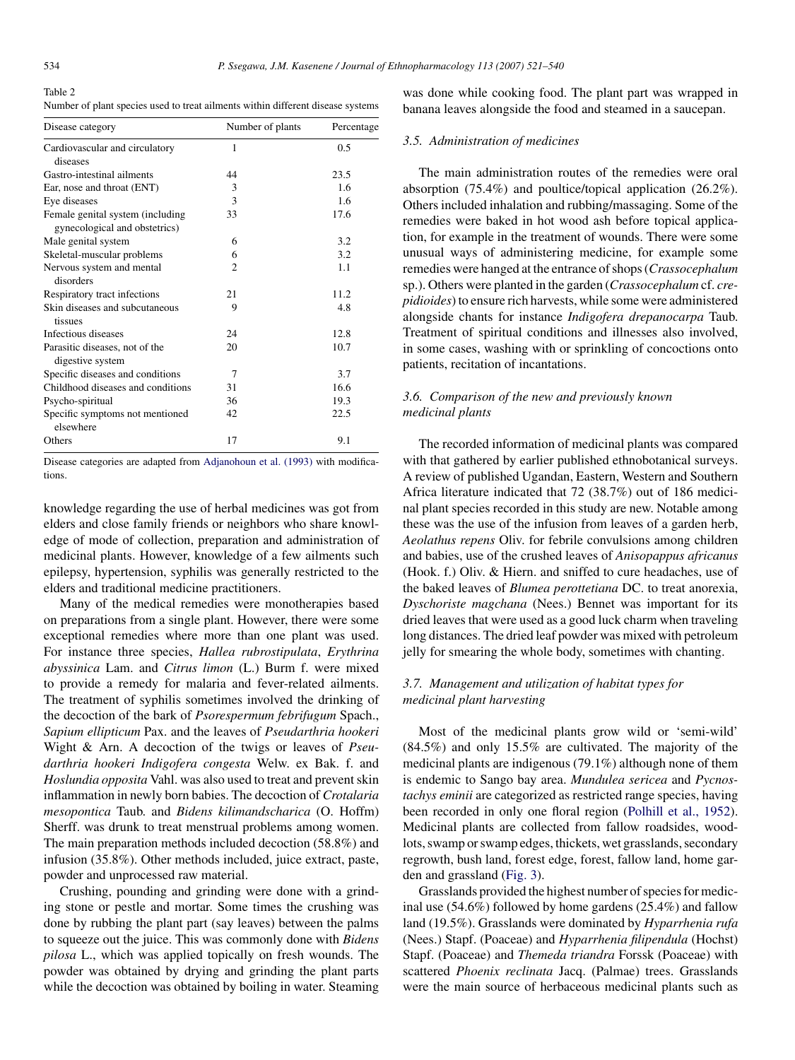<span id="page-13-0"></span>Table 2 Number of plant species used to treat ailments within different disease systems

| Disease category                                                  | Number of plants | Percentage |  |
|-------------------------------------------------------------------|------------------|------------|--|
| Cardiovascular and circulatory<br>diseases                        | 1                | 0.5        |  |
| Gastro-intestinal ailments                                        | 44               | 23.5       |  |
| Ear, nose and throat (ENT)                                        | 3                | 1.6        |  |
| Eye diseases                                                      | 3                | 1.6        |  |
| Female genital system (including<br>gynecological and obstetrics) | 33               | 17.6       |  |
| Male genital system                                               | 6                | 3.2        |  |
| Skeletal-muscular problems                                        | 6                | 3.2        |  |
| Nervous system and mental<br>disorders                            | $\overline{c}$   | 1.1        |  |
| Respiratory tract infections                                      | 21               | 11.2       |  |
| Skin diseases and subcutaneous<br>tissues                         | 9                | 4.8        |  |
| Infectious diseases                                               | 24               | 12.8       |  |
| Parasitic diseases, not of the<br>digestive system                | 20               | 10.7       |  |
| Specific diseases and conditions                                  | 7                | 3.7        |  |
| Childhood diseases and conditions                                 | 31               | 16.6       |  |
| Psycho-spiritual                                                  | 36               | 19.3       |  |
| Specific symptoms not mentioned<br>elsewhere                      | 42               | 22.5       |  |
| Others                                                            | 17               | 9.1        |  |

Disease categories are adapted from [Adjanohoun et al. \(1993\)](#page-18-0) with modifications.

knowledge regarding the use of herbal medicines was got from elders and close family friends or neighbors who share knowledge of mode of collection, preparation and administration of medicinal plants. However, knowledge of a few ailments such epilepsy, hypertension, syphilis was generally restricted to the elders and traditional medicine practitioners.

Many of the medical remedies were monotherapies based on preparations from a single plant. However, there were some exceptional remedies where more than one plant was used. For instance three species, *Hallea rubrostipulata*, *Erythrina abyssinica* Lam. and *Citrus limon* (L.) Burm f. were mixed to provide a remedy for malaria and fever-related ailments. The treatment of syphilis sometimes involved the drinking of the decoction of the bark of *Psorespermum febrifugum* Spach., *Sapium ellipticum* Pax. and the leaves of *Pseudarthria hookeri* Wight & Arn. A decoction of the twigs or leaves of *Pseudarthria hookeri Indigofera congesta* Welw. ex Bak. f. and *Hoslundia opposita* Vahl. was also used to treat and prevent skin inflammation in newly born babies. The decoction of *Crotalaria mesopontica* Taub. and *Bidens kilimandscharica* (O. Hoffm) Sherff. was drunk to treat menstrual problems among women. The main preparation methods included decoction (58.8%) and infusion (35.8%). Other methods included, juice extract, paste, powder and unprocessed raw material.

Crushing, pounding and grinding were done with a grinding stone or pestle and mortar. Some times the crushing was done by rubbing the plant part (say leaves) between the palms to squeeze out the juice. This was commonly done with *Bidens pilosa* L., which was applied topically on fresh wounds. The powder was obtained by drying and grinding the plant parts while the decoction was obtained by boiling in water. Steaming

was done while cooking food. The plant part was wrapped in banana leaves alongside the food and steamed in a saucepan.

#### *3.5. Administration of medicines*

The main administration routes of the remedies were oral absorption (75.4%) and poultice/topical application (26.2%). Others included inhalation and rubbing/massaging. Some of the remedies were baked in hot wood ash before topical application, for example in the treatment of wounds. There were some unusual ways of administering medicine, for example some remedies were hanged at the entrance of shops (*Crassocephalum* sp.). Others were planted in the garden (*Crassocephalum* cf. *crepidioides*) to ensure rich harvests, while some were administered alongside chants for instance *Indigofera drepanocarpa* Taub. Treatment of spiritual conditions and illnesses also involved, in some cases, washing with or sprinkling of concoctions onto patients, recitation of incantations.

### *3.6. Comparison of the new and previously known medicinal plants*

The recorded information of medicinal plants was compared with that gathered by earlier published ethnobotanical surveys. A review of published Ugandan, Eastern, Western and Southern Africa literature indicated that 72 (38.7%) out of 186 medicinal plant species recorded in this study are new. Notable among these was the use of the infusion from leaves of a garden herb, *Aeolathus repens* Oliv. for febrile convulsions among children and babies, use of the crushed leaves of *Anisopappus africanus* (Hook. f.) Oliv. & Hiern. and sniffed to cure headaches, use of the baked leaves of *Blumea perottetiana* DC. to treat anorexia, *Dyschoriste magchana* (Nees.) Bennet was important for its dried leaves that were used as a good luck charm when traveling long distances. The dried leaf powder was mixed with petroleum jelly for smearing the whole body, sometimes with chanting.

### *3.7. Management and utilization of habitat types for medicinal plant harvesting*

Most of the medicinal plants grow wild or 'semi-wild' (84.5%) and only 15.5% are cultivated. The majority of the medicinal plants are indigenous (79.1%) although none of them is endemic to Sango bay area. *Mundulea sericea* and *Pycnostachys eminii* are categorized as restricted range species, having been recorded in only one floral region [\(Polhill et al., 1952\).](#page-19-0) Medicinal plants are collected from fallow roadsides, woodlots, swamp or swamp edges, thickets, wet grasslands, secondary regrowth, bush land, forest edge, forest, fallow land, home garden and grassland ([Fig. 3\).](#page-14-0)

Grasslands provided the highest number of species for medicinal use (54.6%) followed by home gardens (25.4%) and fallow land (19.5%). Grasslands were dominated by *Hyparrhenia rufa* (Nees.) Stapf. (Poaceae) and *Hyparrhenia filipendula* (Hochst) Stapf. (Poaceae) and *Themeda triandra* Forssk (Poaceae) with scattered *Phoenix reclinata* Jacq. (Palmae) trees. Grasslands were the main source of herbaceous medicinal plants such as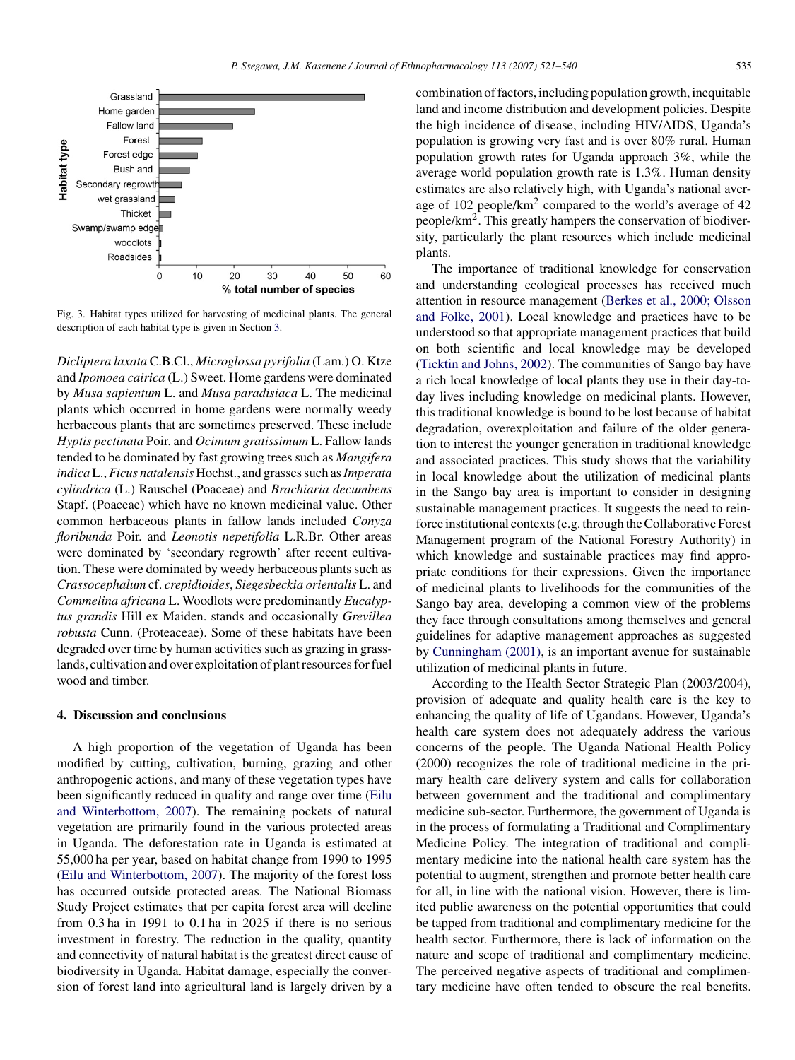<span id="page-14-0"></span>

Fig. 3. Habitat types utilized for harvesting of medicinal plants. The general description of each habitat type is given in Section [3.](#page-1-0)

*Dicliptera laxata* C.B.Cl., *Microglossa pyrifolia* (Lam.) O. Ktze and *Ipomoea cairica* (L.) Sweet. Home gardens were dominated by *Musa sapientum* L. and *Musa paradisiaca* L. The medicinal plants which occurred in home gardens were normally weedy herbaceous plants that are sometimes preserved. These include *Hyptis pectinata* Poir. and *Ocimum gratissimum* L. Fallow lands tended to be dominated by fast growing trees such as *Mangifera indica*L.,*Ficus natalensis* Hochst., and grasses such as*Imperata cylindrica* (L.) Rauschel (Poaceae) and *Brachiaria decumbens* Stapf. (Poaceae) which have no known medicinal value. Other common herbaceous plants in fallow lands included *Conyza floribunda* Poir. and *Leonotis nepetifolia* L.R.Br. Other areas were dominated by 'secondary regrowth' after recent cultivation. These were dominated by weedy herbaceous plants such as *Crassocephalum* cf. *crepidioides*, *Siegesbeckia orientalis* L. and *Commelina africana* L. Woodlots were predominantly *Eucalyptus grandis* Hill ex Maiden. stands and occasionally *Grevillea robusta* Cunn. (Proteaceae). Some of these habitats have been degraded over time by human activities such as grazing in grasslands, cultivation and over exploitation of plant resources for fuel wood and timber.

#### **4. Discussion and conclusions**

A high proportion of the vegetation of Uganda has been modified by cutting, cultivation, burning, grazing and other anthropogenic actions, and many of these vegetation types have been significantly reduced in quality and range over time [\(Eilu](#page-19-0) [and Winterbottom, 2007\).](#page-19-0) The remaining pockets of natural vegetation are primarily found in the various protected areas in Uganda. The deforestation rate in Uganda is estimated at 55,000 ha per year, based on habitat change from 1990 to 1995 ([Eilu and Winterbottom, 2007\).](#page-19-0) The majority of the forest loss has occurred outside protected areas. The National Biomass Study Project estimates that per capita forest area will decline from 0.3 ha in 1991 to 0.1 ha in 2025 if there is no serious investment in forestry. The reduction in the quality, quantity and connectivity of natural habitat is the greatest direct cause of biodiversity in Uganda. Habitat damage, especially the conversion of forest land into agricultural land is largely driven by a

combination of factors, including population growth, inequitable land and income distribution and development policies. Despite the high incidence of disease, including HIV/AIDS, Uganda's population is growing very fast and is over 80% rural. Human population growth rates for Uganda approach 3%, while the average world population growth rate is 1.3%. Human density estimates are also relatively high, with Uganda's national average of 102 people/ $km^2$  compared to the world's average of 42 people/km2. This greatly hampers the conservation of biodiversity, particularly the plant resources which include medicinal plants.

The importance of traditional knowledge for conservation and understanding ecological processes has received much attention in resource management ([Berkes et al., 2000; Olsson](#page-18-0) [and Folke, 2001\).](#page-18-0) Local knowledge and practices have to be understood so that appropriate management practices that build on both scientific and local knowledge may be developed ([Ticktin and Johns, 2002\).](#page-19-0) The communities of Sango bay have a rich local knowledge of local plants they use in their day-today lives including knowledge on medicinal plants. However, this traditional knowledge is bound to be lost because of habitat degradation, overexploitation and failure of the older generation to interest the younger generation in traditional knowledge and associated practices. This study shows that the variability in local knowledge about the utilization of medicinal plants in the Sango bay area is important to consider in designing sustainable management practices. It suggests the need to reinforce institutional contexts (e.g. through the Collaborative Forest Management program of the National Forestry Authority) in which knowledge and sustainable practices may find appropriate conditions for their expressions. Given the importance of medicinal plants to livelihoods for the communities of the Sango bay area, developing a common view of the problems they face through consultations among themselves and general guidelines for adaptive management approaches as suggested by [Cunningham \(2001\),](#page-19-0) is an important avenue for sustainable utilization of medicinal plants in future.

According to the Health Sector Strategic Plan (2003/2004), provision of adequate and quality health care is the key to enhancing the quality of life of Ugandans. However, Uganda's health care system does not adequately address the various concerns of the people. The Uganda National Health Policy (2000) recognizes the role of traditional medicine in the primary health care delivery system and calls for collaboration between government and the traditional and complimentary medicine sub-sector. Furthermore, the government of Uganda is in the process of formulating a Traditional and Complimentary Medicine Policy. The integration of traditional and complimentary medicine into the national health care system has the potential to augment, strengthen and promote better health care for all, in line with the national vision. However, there is limited public awareness on the potential opportunities that could be tapped from traditional and complimentary medicine for the health sector. Furthermore, there is lack of information on the nature and scope of traditional and complimentary medicine. The perceived negative aspects of traditional and complimentary medicine have often tended to obscure the real benefits.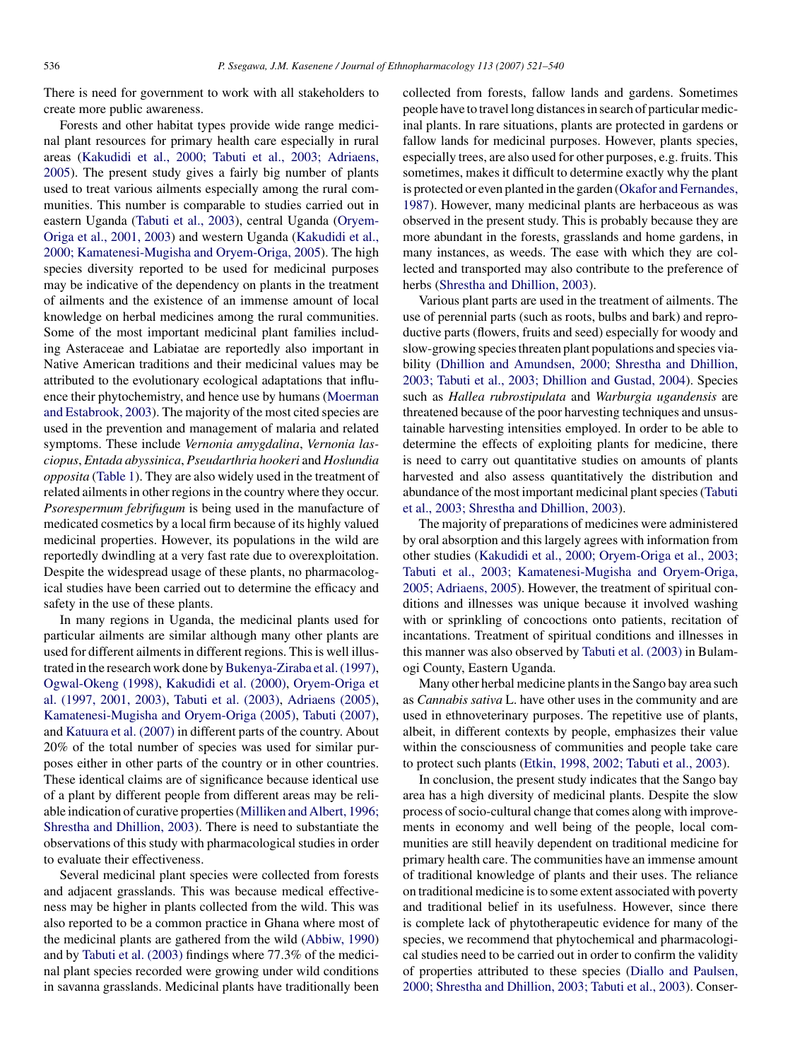There is need for government to work with all stakeholders to create more public awareness.

Forests and other habitat types provide wide range medicinal plant resources for primary health care especially in rural areas [\(Kakudidi et al., 2000; Tabuti et al., 2003; Adriaens,](#page-19-0) [2005\).](#page-19-0) The present study gives a fairly big number of plants used to treat various ailments especially among the rural communities. This number is comparable to studies carried out in eastern Uganda ([Tabuti et al., 2003\),](#page-19-0) central Uganda ([Oryem-](#page-19-0)Origa [et al., 2001, 2003\)](#page-19-0) and western Uganda ([Kakudidi et al.,](#page-19-0) [2000; Kamatenesi-Mugisha and Oryem-Origa, 2005\).](#page-19-0) The high species diversity reported to be used for medicinal purposes may be indicative of the dependency on plants in the treatment of ailments and the existence of an immense amount of local knowledge on herbal medicines among the rural communities. Some of the most important medicinal plant families including Asteraceae and Labiatae are reportedly also important in Native American traditions and their medicinal values may be attributed to the evolutionary ecological adaptations that influence their phytochemistry, and hence use by humans [\(Moerman](#page-19-0) [and Estabrook, 2003\).](#page-19-0) The majority of the most cited species are used in the prevention and management of malaria and related symptoms. These include *Vernonia amygdalina*, *Vernonia lasciopus*, *Entada abyssinica*, *Pseudarthria hookeri* and *Hoslundia opposita* [\(Table 1\).](#page-2-0) They are also widely used in the treatment of related ailments in other regions in the country where they occur. *Psorespermum febrifugum* is being used in the manufacture of medicated cosmetics by a local firm because of its highly valued medicinal properties. However, its populations in the wild are reportedly dwindling at a very fast rate due to overexploitation. Despite the widespread usage of these plants, no pharmacological studies have been carried out to determine the efficacy and safety in the use of these plants.

In many regions in Uganda, the medicinal plants used for particular ailments are similar although many other plants are used for different ailments in different regions. This is well illus-trated in the research work done by [Bukenya-Ziraba et al. \(1997\),](#page-18-0) [Ogwal-Okeng \(1998\),](#page-19-0) [Kakudidi et al. \(2000\),](#page-19-0) [Oryem-Origa et](#page-19-0) [al. \(1997, 2001, 2003\),](#page-19-0) [Tabuti et al. \(2003\),](#page-19-0) [Adriaens \(2005\),](#page-18-0) [Kamatenesi-Mugisha and Oryem-Origa \(2005\),](#page-19-0) [Tabuti \(2007\),](#page-19-0) and [Katuura et al. \(2007\)](#page-19-0) in different parts of the country. About 20% of the total number of species was used for similar purposes either in other parts of the country or in other countries. These identical claims are of significance because identical use of a plant by different people from different areas may be reliable indication of curative properties [\(Milliken and Albert, 1996;](#page-19-0) [Shrestha and Dhillion, 2003\).](#page-19-0) There is need to substantiate the observations of this study with pharmacological studies in order to evaluate their effectiveness.

Several medicinal plant species were collected from forests and adjacent grasslands. This was because medical effectiveness may be higher in plants collected from the wild. This was also reported to be a common practice in Ghana where most of the medicinal plants are gathered from the wild ([Abbiw, 1990\)](#page-18-0) and by [Tabuti et al. \(2003\)](#page-19-0) findings where 77.3% of the medicinal plant species recorded were growing under wild conditions in savanna grasslands. Medicinal plants have traditionally been collected from forests, fallow lands and gardens. Sometimes people have to travel long distances in search of particular medicinal plants. In rare situations, plants are protected in gardens or fallow lands for medicinal purposes. However, plants species, especially trees, are also used for other purposes, e.g. fruits. This sometimes, makes it difficult to determine exactly why the plant is protected or even planted in the garden ([Okafor and Fernandes,](#page-19-0) [1987\).](#page-19-0) However, many medicinal plants are herbaceous as was observed in the present study. This is probably because they are more abundant in the forests, grasslands and home gardens, in many instances, as weeds. The ease with which they are collected and transported may also contribute to the preference of herbs [\(Shrestha and Dhillion, 2003\).](#page-19-0)

Various plant parts are used in the treatment of ailments. The use of perennial parts (such as roots, bulbs and bark) and reproductive parts (flowers, fruits and seed) especially for woody and slow-growing species threaten plant populations and species viability ([Dhillion and Amundsen, 2000; Shrestha and Dhillion,](#page-19-0) [2003; Tabuti et al., 2003; Dhillion and Gustad, 2004\).](#page-19-0) Species such as *Hallea rubrostipulata* and *Warburgia ugandensis* are threatened because of the poor harvesting techniques and unsustainable harvesting intensities employed. In order to be able to determine the effects of exploiting plants for medicine, there is need to carry out quantitative studies on amounts of plants harvested and also assess quantitatively the distribution and abundance of the most important medicinal plant species ([Tabuti](#page-19-0) [et al., 2003; Shrestha and Dhillion, 2003\).](#page-19-0)

The majority of preparations of medicines were administered by oral absorption and this largely agrees with information from other studies ([Kakudidi et al., 2000; Oryem-Origa et al., 2003;](#page-19-0) [Tabuti et al., 2003; Kamatenesi-Mugisha and Oryem-Origa,](#page-19-0) [2005; Adriaens, 2005\).](#page-19-0) However, the treatment of spiritual conditions and illnesses was unique because it involved washing with or sprinkling of concoctions onto patients, recitation of incantations. Treatment of spiritual conditions and illnesses in this manner was also observed by [Tabuti et al. \(2003\)](#page-19-0) in Bulamogi County, Eastern Uganda.

Many other herbal medicine plants in the Sango bay area such as *Cannabis sativa* L. have other uses in the community and are used in ethnoveterinary purposes. The repetitive use of plants, albeit, in different contexts by people, emphasizes their value within the consciousness of communities and people take care to protect such plants ([Etkin, 1998, 2002; Tabuti et al., 2003\).](#page-19-0)

In conclusion, the present study indicates that the Sango bay area has a high diversity of medicinal plants. Despite the slow process of socio-cultural change that comes along with improvements in economy and well being of the people, local communities are still heavily dependent on traditional medicine for primary health care. The communities have an immense amount of traditional knowledge of plants and their uses. The reliance on traditional medicine is to some extent associated with poverty and traditional belief in its usefulness. However, since there is complete lack of phytotherapeutic evidence for many of the species, we recommend that phytochemical and pharmacological studies need to be carried out in order to confirm the validity of properties attributed to these species [\(Diallo and Paulsen,](#page-19-0) [2000; Shrestha and Dhillion, 2003; Tabuti et al., 2003\).](#page-19-0) Conser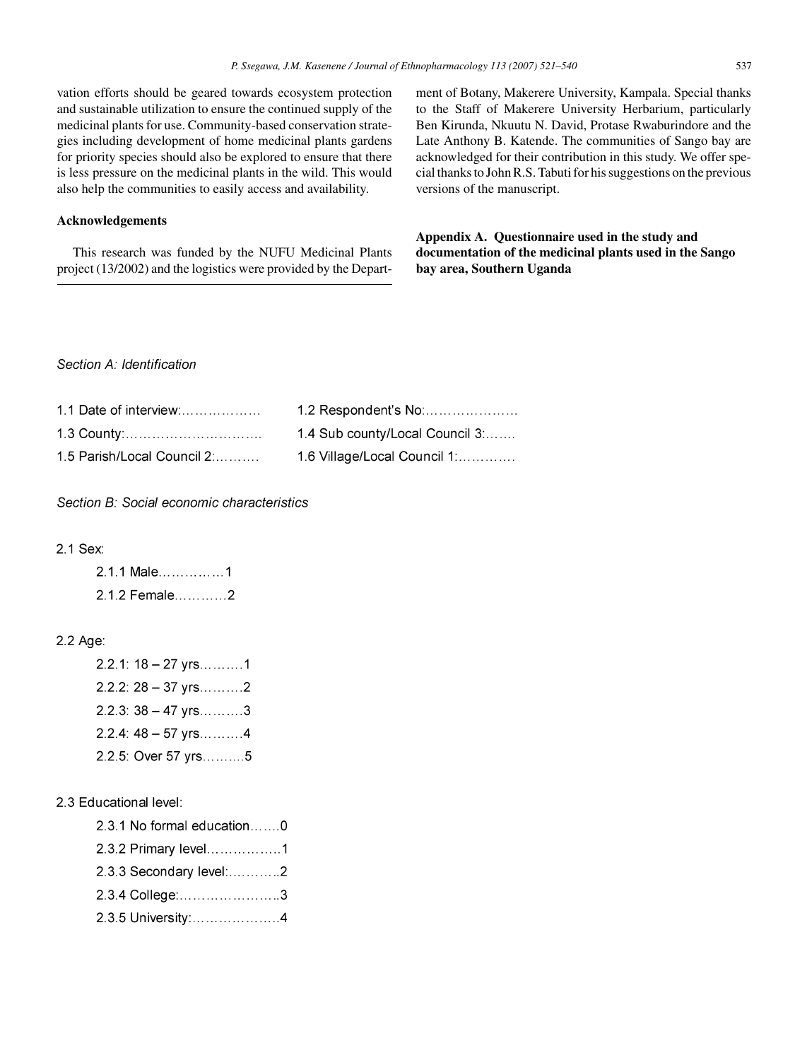<span id="page-16-0"></span>vation efforts should be geared towards ecosystem protection and sustainable utilization to ensure the continued supply of the medicinal plants for use. Community-based conservation strategies including development of home medicinal plants gardens for priority species should also be explored to ensure that there is less pressure on the medicinal plants in the wild. This would also help the communities to easily access and availability.

#### **Acknowledgements**

This research was funded by the NUFU Medicinal Plants project (13/2002) and the logistics were provided by the Department of Botany, Makerere University, Kampala. Special thanks to the Staff of Makerere University Herbarium, particularly Ben Kirunda, Nkuutu N. David, Protase Rwaburindore and the Late Anthony B. Katende. The communities of Sango bay are acknowledged for their contribution in this study. We offer special thanks to John R.S. Tabuti for his suggestions on the previous versions of the manuscript.

**Appendix A. Questionnaire used in the study and documentation of the medicinal plants used in the Sango bay area, Southern Uganda**

### Section A: Identification

| 1.1 Date of interview:      | 1.2 Respondent's No:            |
|-----------------------------|---------------------------------|
|                             | 1.4 Sub county/Local Council 3: |
| 1.5 Parish/Local Council 2: | 1.6 Village/Local Council 1:    |

Section B: Social economic characteristics

### 2.1 Sex:

2.1.1 Male...............1 2.1.2 Female.............2

### 2.2 Age:

| 2.2.1: $18 - 27$ yrs1 |
|-----------------------|
| 2.2.2: $28 - 37$ yrs2 |
| $2.2.3: 38 - 47$ yrs3 |
| 2.2.4: $48 - 57$ yrs4 |
| 2.2.5: Over 57 yrs5   |
|                       |

### 2.3 Educational level:

2.3.1 No formal education.......0 2.3.2 Primary level.................1 2.3.3 Secondary level:.............2 2.3.4 College:.........................3 2.3.5 University:....................4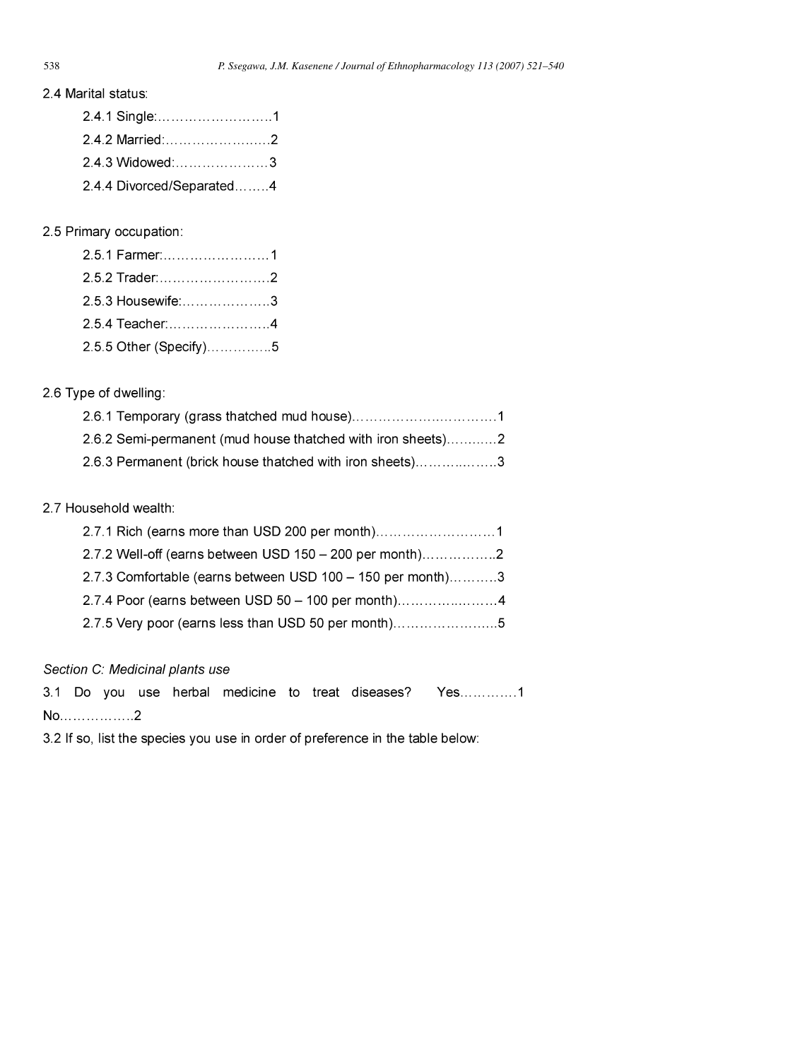### 2.4 Marital status:

| 2.4.1 Single:1            |
|---------------------------|
| 2.4.2 Married:2           |
| 2.4.3 Widowed:3           |
| 2.4.4 Divorced/Separated4 |

### 2.5 Primary occupation:

| 2.5.1 Farmer:1         |  |
|------------------------|--|
| 2.5.2 Trader:2         |  |
| 2.5.3 Housewife3       |  |
| 2.5.4 Teacher:4        |  |
| 2.5.5 Other (Specify)5 |  |

# 2.6 Type of dwelling:

| 2.6.2 Semi-permanent (mud house thatched with iron sheets)2 |
|-------------------------------------------------------------|
| 2.6.3 Permanent (brick house thatched with iron sheets)3    |

# 2.7 Household wealth:

| 2.7.1 Rich (earns more than USD 200 per month)1            |  |
|------------------------------------------------------------|--|
| 2.7.2 Well-off (earns between USD 150 - 200 per month)2    |  |
| 2.7.3 Comfortable (earns between USD 100 - 150 per month)3 |  |
| 2.7.4 Poor (earns between USD 50 - 100 per month)4         |  |
| 2.7.5 Very poor (earns less than USD 50 per month)5        |  |

## Section C: Medicinal plants use

3.1 Do you use herbal medicine to treat diseases? Yes.............1 No. . . . . . . . . . . . . . . . . 2

3.2 If so, list the species you use in order of preference in the table below: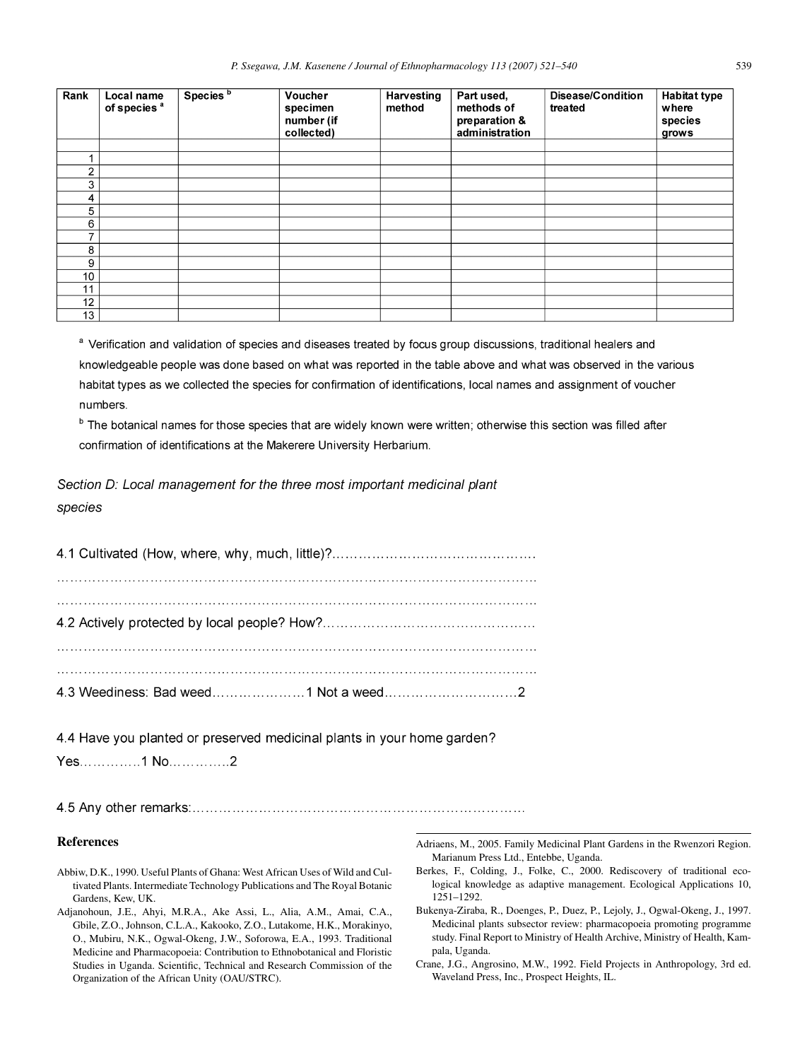<span id="page-18-0"></span>

| Rank           | Local name<br>of species <sup>a</sup> | Species <sup>b</sup> | Voucher<br>specimen<br>number (if<br>collected) | <b>Harvesting</b><br>method | Part used,<br>methods of<br>preparation &<br>administration | Disease/Condition<br>treated | <b>Habitat type</b><br>where<br>species<br>grows |
|----------------|---------------------------------------|----------------------|-------------------------------------------------|-----------------------------|-------------------------------------------------------------|------------------------------|--------------------------------------------------|
|                |                                       |                      |                                                 |                             |                                                             |                              |                                                  |
| $\overline{2}$ |                                       |                      |                                                 |                             |                                                             |                              |                                                  |
| 3              |                                       |                      |                                                 |                             |                                                             |                              |                                                  |
| 4              |                                       |                      |                                                 |                             |                                                             |                              |                                                  |
| 5              |                                       |                      |                                                 |                             |                                                             |                              |                                                  |
| 6              |                                       |                      |                                                 |                             |                                                             |                              |                                                  |
| ⇁              |                                       |                      |                                                 |                             |                                                             |                              |                                                  |
| 8              |                                       |                      |                                                 |                             |                                                             |                              |                                                  |
| 9              |                                       |                      |                                                 |                             |                                                             |                              |                                                  |
| 10             |                                       |                      |                                                 |                             |                                                             |                              |                                                  |
| 11             |                                       |                      |                                                 |                             |                                                             |                              |                                                  |
| 12             |                                       |                      |                                                 |                             |                                                             |                              |                                                  |
| 13             |                                       |                      |                                                 |                             |                                                             |                              |                                                  |

<sup>a</sup> Verification and validation of species and diseases treated by focus group discussions, traditional healers and knowledgeable people was done based on what was reported in the table above and what was observed in the various habitat types as we collected the species for confirmation of identifications, local names and assignment of voucher numbers.

<sup>b</sup> The botanical names for those species that are widely known were written; otherwise this section was filled after confirmation of identifications at the Makerere University Herbarium.

Section D: Local management for the three most important medicinal plant species

4.4 Have you planted or preserved medicinal plants in your home garden? 

### **References**

- Abbiw, D.K., 1990. Useful Plants of Ghana: West African Uses of Wild and Cultivated Plants. Intermediate Technology Publications and The Royal Botanic Gardens, Kew, UK.
- Adjanohoun, J.E., Ahyi, M.R.A., Ake Assi, L., Alia, A.M., Amai, C.A., Gbile, Z.O., Johnson, C.L.A., Kakooko, Z.O., Lutakome, H.K., Morakinyo, O., Mubiru, N.K., Ogwal-Okeng, J.W., Soforowa, E.A., 1993. Traditional Medicine and Pharmacopoeia: Contribution to Ethnobotanical and Floristic Studies in Uganda. Scientific, Technical and Research Commission of the Organization of the African Unity (OAU/STRC).
- Adriaens, M., 2005. Family Medicinal Plant Gardens in the Rwenzori Region. Marianum Press Ltd., Entebbe, Uganda.
- Berkes, F., Colding, J., Folke, C., 2000. Rediscovery of traditional ecological knowledge as adaptive management. Ecological Applications 10, 1251–1292.
- Bukenya-Ziraba, R., Doenges, P., Duez, P., Lejoly, J., Ogwal-Okeng, J., 1997. Medicinal plants subsector review: pharmacopoeia promoting programme study. Final Report to Ministry of Health Archive, Ministry of Health, Kampala, Uganda.
- Crane, J.G., Angrosino, M.W., 1992. Field Projects in Anthropology, 3rd ed. Waveland Press, Inc., Prospect Heights, IL.